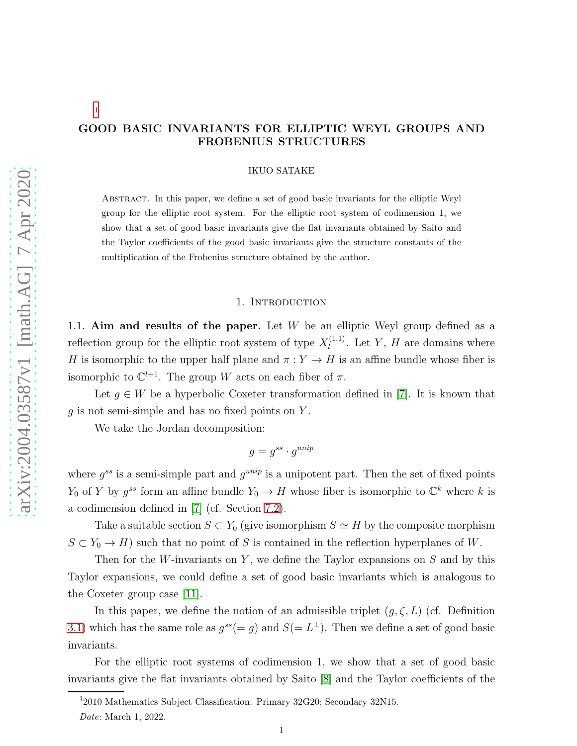# [1](#page-0-0)

# GOOD BASIC INVARIANTS FOR ELLIPTIC WEYL GROUPS AND FROBENIUS STRUCTURES

#### IKUO SATAKE

Abstract. In this paper, we define a set of good basic invariants for the elliptic Weyl group for the elliptic root system. For the elliptic root system of codimension 1, we show that a set of good basic invariants give the flat invariants obtained by Saito and the Taylor coefficients of the good basic invariants give the structure constants of the multiplication of the Frobenius structure obtained by the author.

#### 1. Introduction

1.1. Aim and results of the paper. Let  $W$  be an elliptic Weyl group defined as a reflection group for the elliptic root system of type  $X_l^{(1,1)}$  $\ell_l^{(1,1)}$ . Let Y, H are domains where H is isomorphic to the upper half plane and  $\pi : Y \to H$  is an affine bundle whose fiber is isomorphic to  $\mathbb{C}^{l+1}$ . The group W acts on each fiber of  $\pi$ .

Let  $g \in W$  be a hyperbolic Coxeter transformation defined in [\[7\]](#page-25-0). It is known that  $g$  is not semi-simple and has no fixed points on Y.

We take the Jordan decomposition:

$$
g = g^{ss} \cdot g^{unip}
$$

where  $g^{ss}$  is a semi-simple part and  $g^{unip}$  is a unipotent part. Then the set of fixed points  $Y_0$  of Y by  $g^{ss}$  form an affine bundle  $Y_0 \to H$  whose fiber is isomorphic to  $\mathbb{C}^k$  where k is a codimension defined in [\[7\]](#page-25-0) (cf. Section [7.2\)](#page-11-0).

Take a suitable section  $S \subset Y_0$  (give isomorphism  $S \simeq H$  by the composite morphism  $S \subset Y_0 \to H$ ) such that no point of S is contained in the reflection hyperplanes of W.

Then for the W-invariants on Y, we define the Taylor expansions on  $S$  and by this Taylor expansions, we could define a set of good basic invariants which is analogous to the Coxeter group case [\[11\]](#page-26-0).

In this paper, we define the notion of an admissible triplet  $(g, \zeta, L)$  (cf. Definition [3.1\)](#page-3-0) which has the same role as  $g^{ss}(=g)$  and  $S(=L^{\perp})$ . Then we define a set of good basic invariants.

For the elliptic root systems of codimension 1, we show that a set of good basic invariants give the flat invariants obtained by Saito [\[8\]](#page-25-1) and the Taylor coefficients of the

<sup>&</sup>lt;sup>1</sup>2010 Mathematics Subject Classification. Primary 32G20; Secondary 32N15.

<span id="page-0-0"></span>Date: March 1, 2022.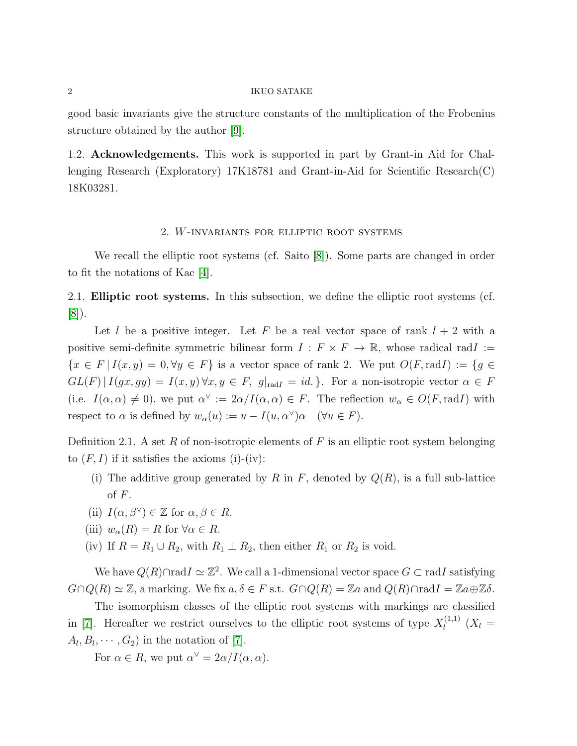good basic invariants give the structure constants of the multiplication of the Frobenius structure obtained by the author [\[9\]](#page-25-2).

1.2. Acknowledgements. This work is supported in part by Grant-in Aid for Challenging Research (Exploratory) 17K18781 and Grant-in-Aid for Scientific Research(C) 18K03281.

### 2. W-invariants for elliptic root systems

We recall the elliptic root systems (cf. Saito [\[8\]](#page-25-1)). Some parts are changed in order to fit the notations of Kac [\[4\]](#page-25-3).

2.1. Elliptic root systems. In this subsection, we define the elliptic root systems (cf. [\[8\]](#page-25-1)).

Let l be a positive integer. Let F be a real vector space of rank  $l + 2$  with a positive semi-definite symmetric bilinear form  $I : F \times F \to \mathbb{R}$ , whose radical rad $I :=$  ${x \in F | I(x, y) = 0, \forall y \in F}$  is a vector space of rank 2. We put  $O(F, \text{rad}I) := \{g \in$  $GL(F)|I(gx, gy) = I(x, y) \forall x, y \in F, g|_{radI} = id.$  For a non-isotropic vector  $\alpha \in F$ (i.e.  $I(\alpha, \alpha) \neq 0$ ), we put  $\alpha^{\vee} := 2\alpha/I(\alpha, \alpha) \in F$ . The reflection  $w_{\alpha} \in O(F, \text{rad}I)$  with respect to  $\alpha$  is defined by  $w_{\alpha}(u) := u - I(u, \alpha^{\vee})\alpha \quad (\forall u \in F)$ .

Definition 2.1. A set  $R$  of non-isotropic elements of  $F$  is an elliptic root system belonging to  $(F, I)$  if it satisfies the axioms (i)-(iv):

- (i) The additive group generated by R in F, denoted by  $Q(R)$ , is a full sub-lattice of  $F$ .
- (ii)  $I(\alpha, \beta^{\vee}) \in \mathbb{Z}$  for  $\alpha, \beta \in R$ .
- (iii)  $w_{\alpha}(R) = R$  for  $\forall \alpha \in R$ .
- (iv) If  $R = R_1 \cup R_2$ , with  $R_1 \perp R_2$ , then either  $R_1$  or  $R_2$  is void.

We have  $Q(R) \cap \text{rad}I \simeq \mathbb{Z}^2$ . We call a 1-dimensional vector space  $G \subset \text{rad}I$  satisfying  $G \cap Q(R) \simeq \mathbb{Z}$ , a marking. We fix  $a, \delta \in F$  s.t.  $G \cap Q(R) = \mathbb{Z}a$  and  $Q(R) \cap \text{rad}I = \mathbb{Z}a \oplus \mathbb{Z}b$ .

The isomorphism classes of the elliptic root systems with markings are classified in [\[7\]](#page-25-0). Hereafter we restrict ourselves to the elliptic root systems of type  $X_l^{(1,1)}$  $\prod_l^{(1,1)}(X_l =$  $A_l, B_l, \cdots, G_2$  in the notation of [\[7\]](#page-25-0).

For  $\alpha \in R$ , we put  $\alpha^{\vee} = 2\alpha/I(\alpha, \alpha)$ .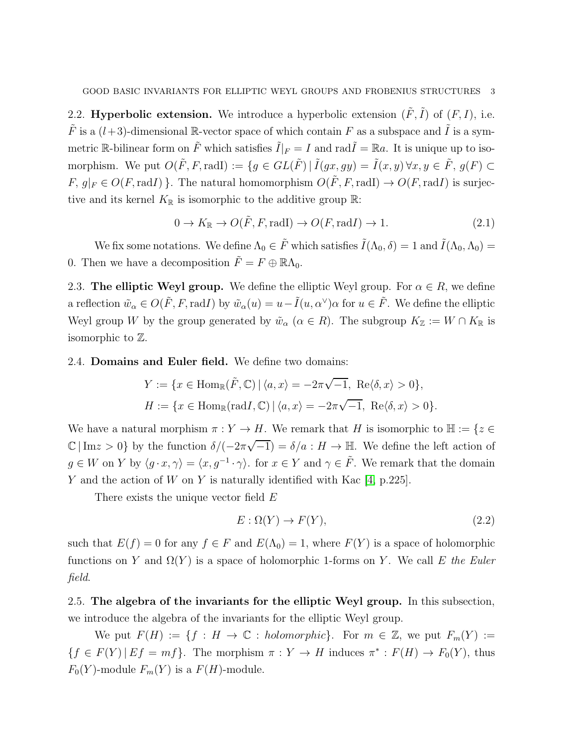2.2. **Hyperbolic extension.** We introduce a hyperbolic extension  $(\tilde{F}, \tilde{I})$  of  $(F, I)$ , i.e.  $\tilde{F}$  is a  $(l+3)$ -dimensional R-vector space of which contain F as a subspace and  $\tilde{I}$  is a symmetric R-bilinear form on  $\tilde{F}$  which satisfies  $\tilde{I}|_F = I$  and rad $\tilde{I} = \mathbb{R}a$ . It is unique up to isomorphism. We put  $O(\tilde{F}, F, \text{radI}) := \{g \in GL(\tilde{F}) \mid \tilde{I}(gx, gy) = \tilde{I}(x, y) \forall x, y \in \tilde{F}, g(F) \subset$  $F, g|_F \in O(F, \text{rad}I)$ . The natural homomorphism  $O(\tilde{F}, F, \text{rad}I) \rightarrow O(F, \text{rad}I)$  is surjective and its kernel  $K_{\mathbb{R}}$  is isomorphic to the additive group  $\mathbb{R}$ :

<span id="page-2-0"></span>
$$
0 \to K_{\mathbb{R}} \to O(\tilde{F}, F, \text{radI}) \to O(F, \text{radI}) \to 1. \tag{2.1}
$$

We fix some notations. We define  $\Lambda_0 \in \tilde{F}$  which satisfies  $\tilde{I}(\Lambda_0, \delta) = 1$  and  $\tilde{I}(\Lambda_0, \Lambda_0) =$ 0. Then we have a decomposition  $\tilde{F} = F \oplus \mathbb{R}\Lambda_0$ .

2.3. The elliptic Weyl group. We define the elliptic Weyl group. For  $\alpha \in R$ , we define a reflection  $\tilde{w}_{\alpha} \in O(\tilde{F}, F, \text{rad}I)$  by  $\tilde{w}_{\alpha}(u) = u - \tilde{I}(u, \alpha^{\vee})\alpha$  for  $u \in \tilde{F}$ . We define the elliptic Weyl group W by the group generated by  $\tilde{w}_{\alpha}$  ( $\alpha \in R$ ). The subgroup  $K_{\mathbb{Z}} := W \cap K_{\mathbb{R}}$  is isomorphic to Z.

2.4. Domains and Euler field. We define two domains:

$$
Y := \{ x \in \text{Hom}_{\mathbb{R}}(\tilde{F}, \mathbb{C}) \mid \langle a, x \rangle = -2\pi\sqrt{-1}, \text{ Re}\langle \delta, x \rangle > 0 \},
$$
  

$$
H := \{ x \in \text{Hom}_{\mathbb{R}}(\text{rad}I, \mathbb{C}) \mid \langle a, x \rangle = -2\pi\sqrt{-1}, \text{ Re}\langle \delta, x \rangle > 0 \}.
$$

We have a natural morphism  $\pi : Y \to H$ . We remark that H is isomorphic to  $\mathbb{H} := \{z \in$  $\mathbb{C} | \text{Im} z > 0$  by the function  $\delta/(-2\pi\sqrt{-1}) = \delta/a : H \to \mathbb{H}$ . We define the left action of  $g \in W$  on Y by  $\langle g \cdot x, \gamma \rangle = \langle x, g^{-1} \cdot \gamma \rangle$ . for  $x \in Y$  and  $\gamma \in \tilde{F}$ . We remark that the domain Y and the action of W on Y is naturally identified with Kac  $[4, p.225]$ .

There exists the unique vector field E

<span id="page-2-1"></span>
$$
E: \Omega(Y) \to F(Y), \tag{2.2}
$$

such that  $E(f) = 0$  for any  $f \in F$  and  $E(\Lambda_0) = 1$ , where  $F(Y)$  is a space of holomorphic functions on Y and  $\Omega(Y)$  is a space of holomorphic 1-forms on Y. We call E the Euler field.

2.5. The algebra of the invariants for the elliptic Weyl group. In this subsection, we introduce the algebra of the invariants for the elliptic Weyl group.

We put  $F(H) := \{f : H \to \mathbb{C} : holomorphic\}$ . For  $m \in \mathbb{Z}$ , we put  $F_m(Y) :=$  ${f \in F(Y) | E f = mf}.$  The morphism  $\pi : Y \to H$  induces  $\pi^* : F(H) \to F_0(Y)$ , thus  $F_0(Y)$ -module  $F_m(Y)$  is a  $F(H)$ -module.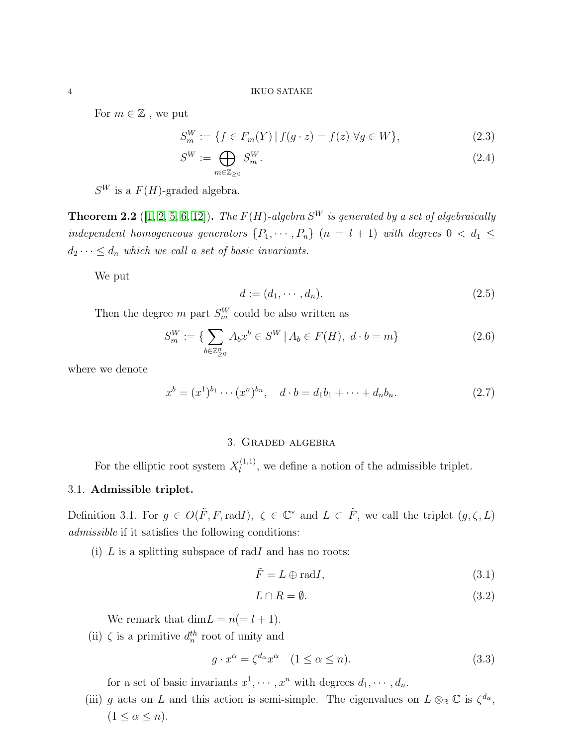For  $m \in \mathbb{Z}$ , we put

<span id="page-3-3"></span>
$$
S_m^W := \{ f \in F_m(Y) \, | \, f(g \cdot z) = f(z) \, \forall g \in W \},\tag{2.3}
$$

$$
S^W := \bigoplus_{m \in \mathbb{Z}_{\geq 0}} S_m^W. \tag{2.4}
$$

 $S^W$  is a  $F(H)$ -graded algebra.

**Theorem 2.2** ([\[1,](#page-25-4) [2,](#page-25-5) [5,](#page-25-6) [6,](#page-25-7) [12\]](#page-26-1)). The  $F(H)$ -algebra  $S^W$  is generated by a set of algebraically independent homogeneous generators  $\{P_1, \cdots, P_n\}$   $(n = l + 1)$  with degrees  $0 < d_1 \leq$  $d_2 \cdots \leq d_n$  which we call a set of basic invariants.

We put

$$
d := (d_1, \cdots, d_n). \tag{2.5}
$$

Then the degree  $m$  part  $S_m^W$  could be also written as

$$
S_m^W := \{ \sum_{b \in \mathbb{Z}_{\geq 0}^n} A_b x^b \in S^W \, | \, A_b \in F(H), \ d \cdot b = m \}
$$
 (2.6)

where we denote

$$
x^{b} = (x^{1})^{b_{1}} \cdots (x^{n})^{b_{n}}, \quad d \cdot b = d_{1}b_{1} + \cdots + d_{n}b_{n}.
$$
 (2.7)

## 3. Graded algebra

For the elliptic root system  $X_l^{(1,1)}$  $\ell_l^{(1,1)}$ , we define a notion of the admissible triplet.

## 3.1. Admissible triplet.

<span id="page-3-0"></span>Definition 3.1. For  $g \in O(F, F, \text{rad})$ ,  $\zeta \in \mathbb{C}^*$  and  $L \subset \tilde{F}$ , we call the triplet  $(g, \zeta, L)$ admissible if it satisfies the following conditions:

(i)  $L$  is a splitting subspace of radI and has no roots:

<span id="page-3-2"></span>
$$
\tilde{F} = L \oplus \text{rad}I,\tag{3.1}
$$

$$
L \cap R = \emptyset. \tag{3.2}
$$

We remark that  $\dim L = n (= l + 1)$ .

(ii)  $\zeta$  is a primitive  $d_n^{th}$  root of unity and

<span id="page-3-1"></span>
$$
g \cdot x^{\alpha} = \zeta^{d_{\alpha}} x^{\alpha} \quad (1 \le \alpha \le n). \tag{3.3}
$$

for a set of basic invariants  $x^1, \dots, x^n$  with degrees  $d_1, \dots, d_n$ .

(iii) g acts on L and this action is semi-simple. The eigenvalues on  $L \otimes_{\mathbb{R}} \mathbb{C}$  is  $\zeta^{d_{\alpha}},$  $(1 \leq \alpha \leq n).$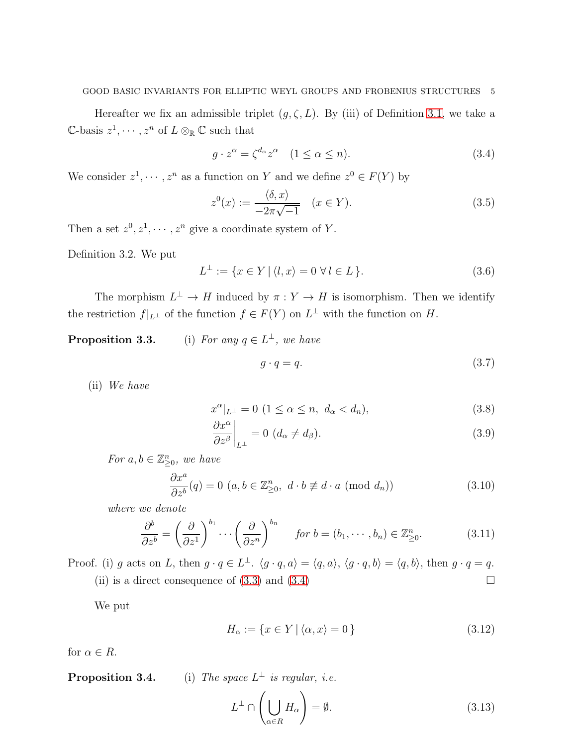#### GOOD BASIC INVARIANTS FOR ELLIPTIC WEYL GROUPS AND FROBENIUS STRUCTURES 5

Hereafter we fix an admissible triplet  $(g, \zeta, L)$ . By (iii) of Definition [3.1,](#page-3-0) we take a  $\mathbb{C}\text{-basis } z^1, \cdots, z^n \text{ of } L \otimes_{\mathbb{R}} \mathbb{C} \text{ such that }$ 

<span id="page-4-0"></span>
$$
g \cdot z^{\alpha} = \zeta^{d_{\alpha}} z^{\alpha} \quad (1 \le \alpha \le n). \tag{3.4}
$$

We consider  $z^1, \dots, z^n$  as a function on Y and we define  $z^0 \in F(Y)$  by

<span id="page-4-1"></span>
$$
z^{0}(x) := \frac{\langle \delta, x \rangle}{-2\pi\sqrt{-1}} \quad (x \in Y). \tag{3.5}
$$

Then a set  $z^0, z^1, \dots, z^n$  give a coordinate system of Y.

Definition 3.2. We put

$$
L^{\perp} := \{ x \in Y \mid \langle l, x \rangle = 0 \,\,\forall \, l \in L \,\}.
$$
\n
$$
(3.6)
$$

The morphism  $L^{\perp} \to H$  induced by  $\pi : Y \to H$  is isomorphism. Then we identify the restriction  $f|_{L^{\perp}}$  of the function  $f \in F(Y)$  on  $L^{\perp}$  with the function on H.

# **Proposition 3.3.** (i) For any  $q \in L^{\perp}$ , we have  $q \cdot q = q.$  (3.7)

(ii) We have

<span id="page-4-2"></span>
$$
x^{\alpha}|_{L^{\perp}} = 0 \ (1 \le \alpha \le n, \ d_{\alpha} < d_n), \tag{3.8}
$$

$$
\left. \frac{\partial x^{\alpha}}{\partial z^{\beta}} \right|_{L^{\perp}} = 0 \, (d_{\alpha} \neq d_{\beta}). \tag{3.9}
$$

For  $a, b \in \mathbb{Z}_{\geq 0}^n$ , we have

$$
\frac{\partial x^a}{\partial z^b}(q) = 0 \ (a, b \in \mathbb{Z}_{\geq 0}^n, \ d \cdot b \not\equiv d \cdot a \ (\text{mod } d_n))
$$
\n(3.10)

where we denote

$$
\frac{\partial^b}{\partial z^b} = \left(\frac{\partial}{\partial z^1}\right)^{b_1} \cdots \left(\frac{\partial}{\partial z^n}\right)^{b_n} \quad \text{for } b = (b_1, \dots, b_n) \in \mathbb{Z}_{\geq 0}^n. \tag{3.11}
$$

Proof. (i) g acts on L, then  $g \cdot q \in L^{\perp}$ .  $\langle g \cdot q, a \rangle = \langle q, a \rangle$ ,  $\langle g \cdot q, b \rangle = \langle q, b \rangle$ , then  $g \cdot q = q$ . (ii) is a direct consequence of  $(3.3)$  and  $(3.4)$ 

We put

$$
H_{\alpha} := \{ x \in Y \mid \langle \alpha, x \rangle = 0 \}
$$
\n
$$
(3.12)
$$

for  $\alpha \in R$ .

**Proposition 3.4.** (i) The space  $L^{\perp}$  is regular, i.e.

$$
L^{\perp} \cap \left(\bigcup_{\alpha \in R} H_{\alpha}\right) = \emptyset. \tag{3.13}
$$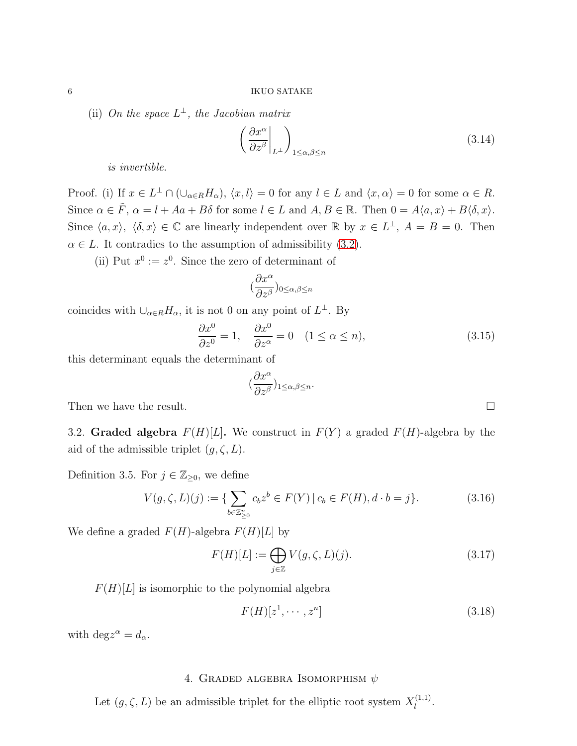(ii) On the space  $L^{\perp}$ , the Jacobian matrix

$$
\left(\frac{\partial x^{\alpha}}{\partial z^{\beta}}\bigg|_{L^{\perp}}\right)_{1\le\alpha,\beta\le n} \tag{3.14}
$$

is invertible.

Proof. (i) If  $x \in L^{\perp} \cap (\cup_{\alpha \in R} H_{\alpha}), \langle x, l \rangle = 0$  for any  $l \in L$  and  $\langle x, \alpha \rangle = 0$  for some  $\alpha \in R$ . Since  $\alpha \in \tilde{F}$ ,  $\alpha = l + Aa + B\delta$  for some  $l \in L$  and  $A, B \in \mathbb{R}$ . Then  $0 = A\langle a, x \rangle + B\langle \delta, x \rangle$ . Since  $\langle a, x \rangle$ ,  $\langle \delta, x \rangle \in \mathbb{C}$  are linearly independent over R by  $x \in L^{\perp}$ ,  $A = B = 0$ . Then  $\alpha \in L$ . It contradics to the assumption of admissibility [\(3.2\)](#page-3-2).

(ii) Put  $x^0 := z^0$ . Since the zero of determinant of

$$
(\frac{\partial x^{\alpha}}{\partial z^{\beta}})_{0\leq\alpha,\beta\leq n}
$$

coincides with  $\bigcup_{\alpha \in R} H_{\alpha}$ , it is not 0 on any point of  $L^{\perp}$ . By

$$
\frac{\partial x^0}{\partial z^0} = 1, \quad \frac{\partial x^0}{\partial z^\alpha} = 0 \quad (1 \le \alpha \le n), \tag{3.15}
$$

this determinant equals the determinant of

$$
(\frac{\partial x^{\alpha}}{\partial z^{\beta}})_{1\leq \alpha,\beta\leq n}.
$$

Then we have the result.

3.2. Graded algebra  $F(H)[L]$ . We construct in  $F(Y)$  a graded  $F(H)$ -algebra by the aid of the admissible triplet  $(g, \zeta, L)$ .

Definition 3.5. For  $j \in \mathbb{Z}_{\geq 0}$ , we define

$$
V(g,\zeta,L)(j) := \{ \sum_{b \in \mathbb{Z}_{\geq 0}^n} c_b z^b \in F(Y) \, | \, c_b \in F(H), d \cdot b = j \}. \tag{3.16}
$$

We define a graded  $F(H)$ -algebra  $F(H)[L]$  by

<span id="page-5-0"></span>
$$
F(H)[L] := \bigoplus_{j \in \mathbb{Z}} V(g,\zeta,L)(j). \tag{3.17}
$$

 $F(H)[L]$  is isomorphic to the polynomial algebra

$$
F(H)[z^1, \cdots, z^n]
$$
\n
$$
(3.18)
$$

with  $\text{deg} z^{\alpha} = d_{\alpha}$ .

## 4. GRADED ALGEBRA ISOMORPHISM  $\psi$

Let  $(g, \zeta, L)$  be an admissible triplet for the elliptic root system  $X_l^{(1,1)}$  $\frac{l^{(1,1)}}{l}$ .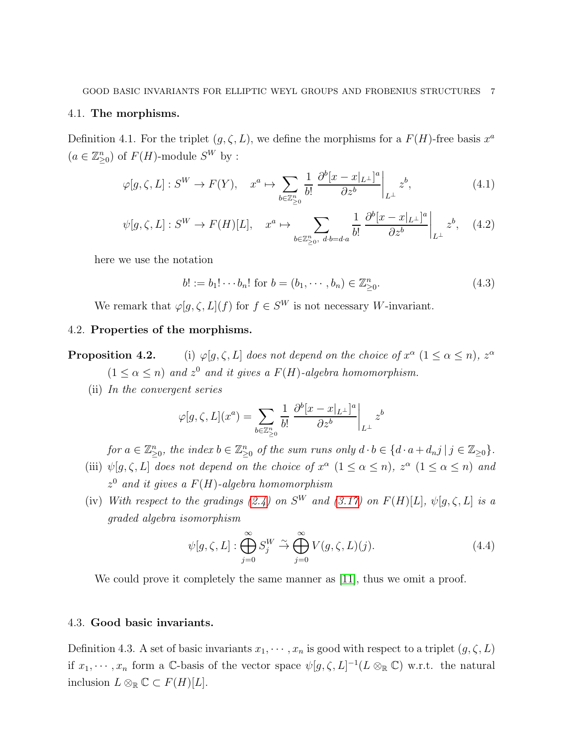#### 4.1. The morphisms.

Definition 4.1. For the triplet  $(g, \zeta, L)$ , we define the morphisms for a  $F(H)$ -free basis  $x^a$  $(a \in \mathbb{Z}_{\geq 0}^n)$  of  $F(H)$ -module  $S^W$  by :

<span id="page-6-1"></span>
$$
\varphi[g,\zeta,L]: S^W \to F(Y), \quad x^a \mapsto \sum_{b \in \mathbb{Z}_{\geq 0}^n} \frac{1}{b!} \left. \frac{\partial^b [x - x|_{L^\perp}]^a}{\partial z^b} \right|_{L^\perp} z^b,\tag{4.1}
$$

$$
\psi[g,\zeta,L]: S^W \to F(H)[L], \quad x^a \mapsto \sum_{b \in \mathbb{Z}_{\geq 0}^n, \ d \cdot b = d \cdot a} \frac{1}{b!} \left. \frac{\partial^b [x - x|_{L^\perp}]^a}{\partial z^b} \right|_{L^\perp} z^b, \quad (4.2)
$$

here we use the notation

$$
b! := b_1! \cdots b_n! \text{ for } b = (b_1, \cdots, b_n) \in \mathbb{Z}_{\geq 0}^n. \tag{4.3}
$$

We remark that  $\varphi[g,\zeta,L](f)$  for  $f \in S^W$  is not necessary W-invariant.

## 4.2. Properties of the morphisms.

**Proposition 4.2.** (i)  $\varphi[g,\zeta,L]$  does not depend on the choice of  $x^{\alpha}$   $(1 \leq \alpha \leq n)$ ,  $z^{\alpha}$  $(1 \leq \alpha \leq n)$  and  $z^0$  and it gives a  $F(H)$ -algebra homomorphism.

(ii) In the convergent series

$$
\varphi[g,\zeta,L](x^a) = \sum_{b \in \mathbb{Z}_{\geq 0}^n} \frac{1}{b!} \left. \frac{\partial^b [x - x]_{L^\perp}^a}{\partial z^b} \right|_{L^\perp} z^b
$$

for  $a \in \mathbb{Z}_{\geq 0}^n$ , the index  $b \in \mathbb{Z}_{\geq 0}^n$  of the sum runs only  $d \cdot b \in \{d \cdot a + d_n j \mid j \in \mathbb{Z}_{\geq 0}\}.$ 

- (iii)  $\psi[g,\zeta,L]$  does not depend on the choice of  $x^{\alpha}$   $(1 \leq \alpha \leq n)$ ,  $z^{\alpha}$   $(1 \leq \alpha \leq n)$  and  $z^0$  and it gives a  $F(H)$ -algebra homomorphism
- (iv) With respect to the gradings [\(2.4\)](#page-3-3) on  $S^W$  and [\(3.17\)](#page-5-0) on  $F(H)[L]$ ,  $\psi[g,\zeta,L]$  is a graded algebra isomorphism

$$
\psi[g,\zeta,L]: \bigoplus_{j=0}^{\infty} S_j^W \stackrel{\sim}{\to} \bigoplus_{j=0}^{\infty} V(g,\zeta,L)(j). \tag{4.4}
$$

We could prove it completely the same manner as [\[11\]](#page-26-0), thus we omit a proof.

## 4.3. Good basic invariants.

<span id="page-6-0"></span>Definition 4.3. A set of basic invariants  $x_1, \dots, x_n$  is good with respect to a triplet  $(g, \zeta, L)$ if  $x_1, \dots, x_n$  form a C-basis of the vector space  $\psi[g, \zeta, L]^{-1}(L \otimes_{\mathbb{R}} \mathbb{C})$  w.r.t. the natural inclusion  $L \otimes_{\mathbb{R}} \mathbb{C} \subset F(H)[L].$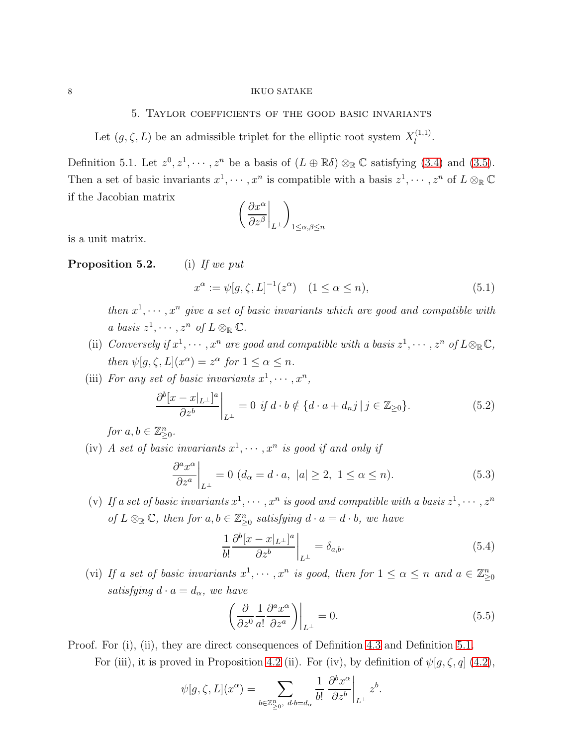#### $8\,$   $\,$  IKUO SATAKE

## 5. Taylor coefficients of the good basic invariants

Let  $(g, \zeta, L)$  be an admissible triplet for the elliptic root system  $X_l^{(1,1)}$  $l^{(1,1)}$ .

<span id="page-7-0"></span>Definition 5.1. Let  $z^0, z^1, \dots, z^n$  be a basis of  $(L \oplus \mathbb{R}\delta) \otimes_{\mathbb{R}} \mathbb{C}$  satisfying [\(3.4\)](#page-4-0) and [\(3.5\)](#page-4-1). Then a set of basic invariants  $x^1, \dots, x^n$  is compatible with a basis  $z^1, \dots, z^n$  of  $L \otimes_{\mathbb{R}} \mathbb{C}$ if the Jacobian matrix

$$
\left(\frac{\partial x^{\alpha}}{\partial z^{\beta}}\bigg|_{L^{\perp}}\right)_{1\leq\alpha,\beta\leq n}
$$

is a unit matrix.

## **Proposition 5.2.** (i) If we put

$$
x^{\alpha} := \psi[g, \zeta, L]^{-1}(z^{\alpha}) \quad (1 \le \alpha \le n), \tag{5.1}
$$

then  $x^1, \dots, x^n$  give a set of basic invariants which are good and compatible with a basis  $z^1, \cdots, z^n$  of  $L \otimes_{\mathbb{R}} \mathbb{C}$ .

- (ii) Conversely if  $x^1, \dots, x^n$  are good and compatible with a basis  $z^1, \dots, z^n$  of  $L \otimes_{\mathbb{R}} \mathbb{C}$ , then  $\psi[g,\zeta,L](x^{\alpha}) = z^{\alpha}$  for  $1 \leq \alpha \leq n$ .
- (iii) For any set of basic invariants  $x^1, \dots, x^n$ ,

<span id="page-7-1"></span>
$$
\left. \frac{\partial^b [x - x|_{L^{\perp}}]^a}{\partial z^b} \right|_{L^{\perp}} = 0 \text{ if } d \cdot b \notin \{d \cdot a + d_n j \mid j \in \mathbb{Z}_{\geq 0} \}.
$$
\n(5.2)

for  $a, b \in \mathbb{Z}_{\geq 0}^n$ .

(iv) A set of basic invariants  $x^1, \dots, x^n$  is good if and only if

<span id="page-7-2"></span>
$$
\left. \frac{\partial^a x^{\alpha}}{\partial z^a} \right|_{L^{\perp}} = 0 \ (d_{\alpha} = d \cdot a, \ |a| \ge 2, \ 1 \le \alpha \le n). \tag{5.3}
$$

(v) If a set of basic invariants  $x^1, \dots, x^n$  is good and compatible with a basis  $z^1, \dots, z^n$ of  $L \otimes_{\mathbb{R}} \mathbb{C}$ , then for  $a, b \in \mathbb{Z}_{\geq 0}^n$  satisfying  $d \cdot a = d \cdot b$ , we have

<span id="page-7-3"></span>
$$
\frac{1}{b!} \frac{\partial^b [x - x|_{L^\perp}]^a}{\partial z^b} \bigg|_{L^\perp} = \delta_{a,b}.\tag{5.4}
$$

(vi) If a set of basic invariants  $x^1, \dots, x^n$  is good, then for  $1 \leq \alpha \leq n$  and  $a \in \mathbb{Z}_{\geq 0}^n$ satisfying  $d \cdot a = d_{\alpha}$ , we have

<span id="page-7-4"></span>
$$
\left. \left( \frac{\partial}{\partial z^0} \frac{1}{a!} \frac{\partial^a x^\alpha}{\partial z^a} \right) \right|_{L^\perp} = 0. \tag{5.5}
$$

Proof. For (i), (ii), they are direct consequences of Definition [4.3](#page-6-0) and Definition [5.1.](#page-7-0)

For (iii), it is proved in Proposition 4.2 (ii). For (iv), by definition of  $\psi[g,\zeta,q]$  [\(4.2\)](#page-6-1),

$$
\psi[g,\zeta,L](x^{\alpha}) = \sum_{b \in \mathbb{Z}_{\geq 0}^n, d \cdot b = d_{\alpha}} \frac{1}{b!} \left. \frac{\partial^b x^{\alpha}}{\partial z^b} \right|_{L^{\perp}} z^b.
$$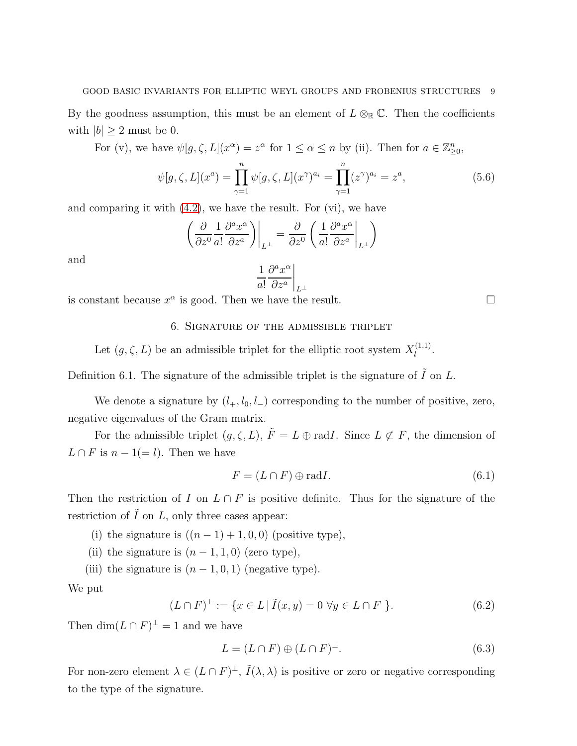By the goodness assumption, this must be an element of  $L \otimes_{\mathbb{R}} \mathbb{C}$ . Then the coefficients with  $|b| \geq 2$  must be 0.

For (v), we have  $\psi[g,\zeta,L](x^{\alpha})=z^{\alpha}$  for  $1 \leq \alpha \leq n$  by (ii). Then for  $a \in \mathbb{Z}_{\geq 0}^n$ ,

$$
\psi[g,\zeta,L](x^a) = \prod_{\gamma=1}^n \psi[g,\zeta,L](x^{\gamma})^{a_i} = \prod_{\gamma=1}^n (z^{\gamma})^{a_i} = z^a,
$$
\n(5.6)

and comparing it with [\(4.2\)](#page-6-1), we have the result. For (vi), we have

$$
\left(\frac{\partial}{\partial z^0} \frac{1}{a!} \frac{\partial^a x^{\alpha}}{\partial z^a}\right)\Big|_{L^{\perp}} = \frac{\partial}{\partial z^0} \left(\frac{1}{a!} \frac{\partial^a x^{\alpha}}{\partial z^a}\Big|_{L^{\perp}}\right)
$$

and

$$
\left. \frac{1}{a!} \frac{\partial^a x^{\alpha}}{\partial z^a} \right|_{L^{\perp}}
$$

is constant because  $x^{\alpha}$  is good. Then we have the result.

## 6. Signature of the admissible triplet

Let  $(g, \zeta, L)$  be an admissible triplet for the elliptic root system  $X_l^{(1,1)}$  $l^{(1,1)}$ .

Definition 6.1. The signature of the admissible triplet is the signature of  $\tilde{I}$  on L.

We denote a signature by  $(l_+, l_0, l_-)$  corresponding to the number of positive, zero, negative eigenvalues of the Gram matrix.

For the admissible triplet  $(g, \zeta, L)$ ,  $\tilde{F} = L \oplus \text{rad}I$ . Since  $L \not\subset F$ , the dimension of  $L \cap F$  is  $n - 1 (= l)$ . Then we have

$$
F = (L \cap F) \oplus \text{rad}I. \tag{6.1}
$$

Then the restriction of I on  $L \cap F$  is positive definite. Thus for the signature of the restriction of  $\tilde{I}$  on  $L$ , only three cases appear:

- (i) the signature is  $((n-1)+1, 0, 0)$  (positive type),
- (ii) the signature is  $(n-1,1,0)$  (zero type),
- (iii) the signature is  $(n-1, 0, 1)$  (negative type).

We put

<span id="page-8-1"></span>
$$
(L \cap F)^{\perp} := \{ x \in L \mid \tilde{I}(x, y) = 0 \,\,\forall y \in L \cap F \,\}.
$$
\n(6.2)

Then  $\dim(L \cap F)^{\perp} = 1$  and we have

<span id="page-8-0"></span>
$$
L = (L \cap F) \oplus (L \cap F)^{\perp}.
$$
\n
$$
(6.3)
$$

For non-zero element  $\lambda \in (L \cap F)^{\perp}$ ,  $\tilde{I}(\lambda, \lambda)$  is positive or zero or negative corresponding to the type of the signature.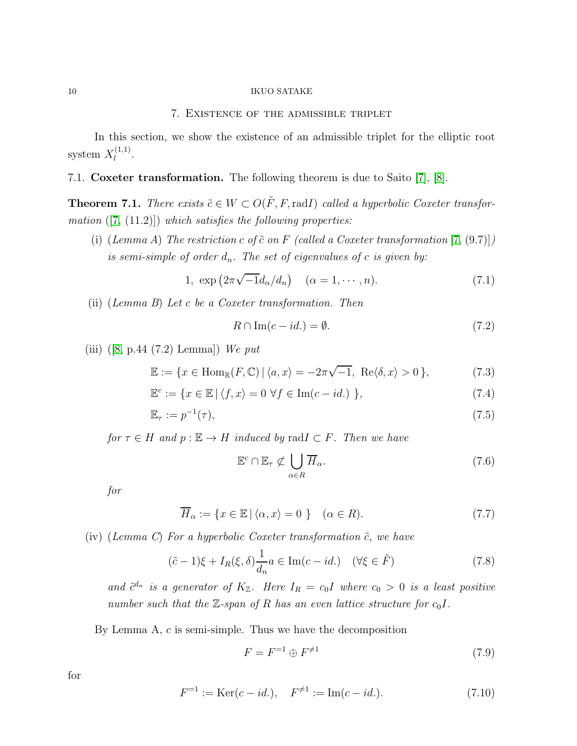## 7. Existence of the admissible triplet

In this section, we show the existence of an admissible triplet for the elliptic root system  $X_l^{(1,1)}$  $\frac{l^{(1,1)}}{l}$ .

## 7.1. Coxeter transformation. The following theorem is due to Saito [\[7\]](#page-25-0), [\[8\]](#page-25-1).

<span id="page-9-0"></span>**Theorem 7.1.** There exists  $\tilde{c} \in W \subset O(\tilde{F}, F, \text{rad})$  called a hyperbolic Coxeter transformation  $([7, (11.2)])$  $([7, (11.2)])$  $([7, (11.2)])$  which satisfies the following properties:

(i) (Lemma A) The restriction c of  $\tilde{c}$  on F (called a Coxeter transformation [\[7,](#page-25-0) (9.7)]) is semi-simple of order  $d_n$ . The set of eigenvalues of c is given by:

1, 
$$
\exp\left(2\pi\sqrt{-1}d_{\alpha}/d_n\right)
$$
  $(\alpha = 1, \cdots, n).$  (7.1)

(ii) (Lemma B) Let c be a Coxeter transformation. Then

$$
R \cap \text{Im}(c - id.) = \emptyset. \tag{7.2}
$$

(iii)  $([8, p.44 (7.2) \text{ Lemma}])$  $([8, p.44 (7.2) \text{ Lemma}])$  $([8, p.44 (7.2) \text{ Lemma}])$  We put

$$
\mathbb{E} := \{ x \in \text{Hom}_{\mathbb{R}}(F, \mathbb{C}) \mid \langle a, x \rangle = -2\pi\sqrt{-1}, \text{ Re}\langle \delta, x \rangle > 0 \},\tag{7.3}
$$

$$
\mathbb{E}^c := \{ x \in \mathbb{E} \mid \langle f, x \rangle = 0 \,\,\forall f \in \text{Im}(c - id.) \,\,\},\tag{7.4}
$$

$$
\mathbb{E}_{\tau} := p^{-1}(\tau),\tag{7.5}
$$

for  $\tau \in H$  and  $p : \mathbb{E} \to H$  induced by rad $I \subset F$ . Then we have

$$
\mathbb{E}^c \cap \mathbb{E}_{\tau} \not\subset \bigcup_{\alpha \in R} \overline{H}_{\alpha}.\tag{7.6}
$$

for

$$
\overline{H}_{\alpha} := \{ x \in \mathbb{E} \mid \langle \alpha, x \rangle = 0 \} \quad (\alpha \in R). \tag{7.7}
$$

(iv) (Lemma C) For a hyperbolic Coxeter transformation  $\tilde{c}$ , we have

$$
(\tilde{c} - 1)\xi + I_R(\xi, \delta)\frac{1}{d_n}a \in \text{Im}(c - id.) \quad (\forall \xi \in \tilde{F})
$$
\n(7.8)

and  $\tilde{c}^{d_n}$  is a generator of  $K_{\mathbb{Z}}$ . Here  $I_R = c_0 I$  where  $c_0 > 0$  is a least positive number such that the  $\mathbb{Z}$ -span of R has an even lattice structure for  $c_0I$ .

By Lemma  $A, c$  is semi-simple. Thus we have the decomposition

$$
F = F^{-1} \oplus F^{\neq 1} \tag{7.9}
$$

for

$$
F^{-1} := \text{Ker}(c - id.), \quad F^{\neq 1} := \text{Im}(c - id.). \tag{7.10}
$$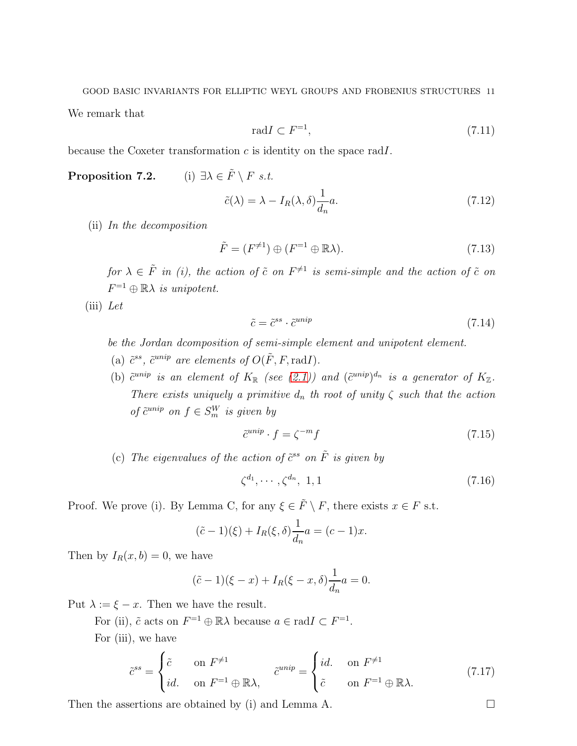GOOD BASIC INVARIANTS FOR ELLIPTIC WEYL GROUPS AND FROBENIUS STRUCTURES 11

We remark that

$$
\mathrm{rad}I \subset F^{-1},\tag{7.11}
$$

because the Coxeter transformation  $c$  is identity on the space radI.

**Proposition 7.2.** (i)  $\exists \lambda \in \tilde{F} \setminus F \text{ s.t.}$ 

$$
\tilde{c}(\lambda) = \lambda - I_R(\lambda, \delta) \frac{1}{d_n} a.
$$
\n(7.12)

(ii) In the decomposition

$$
\tilde{F} = (F^{\neq 1}) \oplus (F^{-1} \oplus \mathbb{R}\lambda). \tag{7.13}
$$

for  $\lambda \in \tilde{F}$  in (i), the action of  $\tilde{c}$  on  $F^{\neq 1}$  is semi-simple and the action of  $\tilde{c}$  on  $F^{-1} \oplus \mathbb{R} \lambda$  is unipotent.

 $(iii)$  Let

$$
\tilde{c} = \tilde{c}^{ss} \cdot \tilde{c}^{unip} \tag{7.14}
$$

be the Jordan dcomposition of semi-simple element and unipotent element.

- (a)  $\tilde{c}^{ss}$ ,  $\tilde{c}^{unip}$  are elements of  $O(\tilde{F}, F, \text{rad}I)$ .
- (b)  $\tilde{c}^{unip}$  is an element of  $K_{\mathbb{R}}$  (see [\(2.1\)](#page-2-0)) and  $(\tilde{c}^{unip})^{d_n}$  is a generator of  $K_{\mathbb{Z}}$ . There exists uniquely a primitive  $d_n$  th root of unity  $\zeta$  such that the action of  $\tilde{c}^{unip}$  on  $f \in S_m^W$  is given by

$$
\tilde{c}^{unip} \cdot f = \zeta^{-m} f \tag{7.15}
$$

(c) The eigenvalues of the action of  $\tilde{c}^{ss}$  on  $\tilde{F}$  is given by

$$
\zeta^{d_1}, \cdots, \zeta^{d_n}, 1, 1 \tag{7.16}
$$

Proof. We prove (i). By Lemma C, for any  $\xi \in \tilde{F} \setminus F$ , there exists  $x \in F$  s.t.

$$
(\tilde{c} - 1)(\xi) + I_R(\xi, \delta) \frac{1}{d_n} a = (c - 1)x.
$$

Then by  $I_R(x, b) = 0$ , we have

$$
(\tilde{c} - 1)(\xi - x) + I_R(\xi - x, \delta)\frac{1}{d_n}a = 0.
$$

Put  $\lambda := \xi - x$ . Then we have the result.

For (ii),  $\tilde{c}$  acts on  $F^{-1} \oplus \mathbb{R} \lambda$  because  $a \in \text{rad} I \subset F^{-1}$ .

For (iii), we have

$$
\tilde{c}^{ss} = \begin{cases}\n\tilde{c} & \text{on } F^{\neq 1} \\
id. & \text{on } F^{-1} \oplus \mathbb{R}\lambda,\n\end{cases}\n\tilde{c}^{unip} = \begin{cases}\nd. & \text{on } F^{\neq 1} \\
\tilde{c} & \text{on } F^{-1} \oplus \mathbb{R}\lambda.\n\end{cases}
$$
\n(7.17)

Then the assertions are obtained by (i) and Lemma A.  $\Box$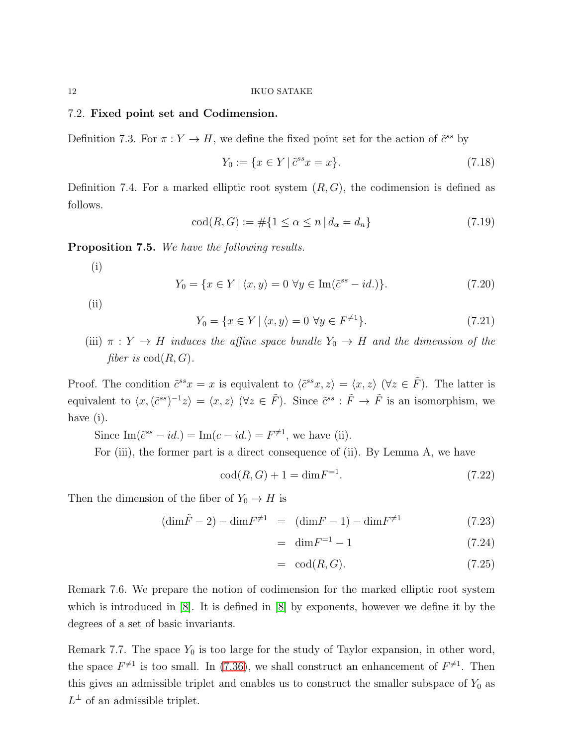## <span id="page-11-0"></span>7.2. Fixed point set and Codimension.

Definition 7.3. For  $\pi: Y \to H$ , we define the fixed point set for the action of  $\tilde{c}^{ss}$  by

$$
Y_0 := \{ x \in Y \mid \tilde{c}^{ss} x = x \}. \tag{7.18}
$$

Definition 7.4. For a marked elliptic root system  $(R, G)$ , the codimension is defined as follows.

$$
cod(R, G) := \# \{ 1 \le \alpha \le n \, | \, d_{\alpha} = d_n \} \tag{7.19}
$$

Proposition 7.5. We have the following results.

(i)

$$
Y_0 = \{x \in Y \mid \langle x, y \rangle = 0 \,\,\forall y \in \text{Im}(\tilde{c}^{ss} - id.)\}.
$$
 (7.20)

(ii)

$$
Y_0 = \{ x \in Y \mid \langle x, y \rangle = 0 \,\,\forall y \in F^{\neq 1} \}. \tag{7.21}
$$

(iii)  $\pi : Y \to H$  induces the affine space bundle  $Y_0 \to H$  and the dimension of the fiber is  $\text{cod}(R, G)$ .

Proof. The condition  $\tilde{c}^{ss}x = x$  is equivalent to  $\langle \tilde{c}^{ss}x, z \rangle = \langle x, z \rangle$   $(\forall z \in \tilde{F})$ . The latter is equivalent to  $\langle x, (\tilde{c}^{ss})^{-1}z \rangle = \langle x, z \rangle$   $(\forall z \in \tilde{F})$ . Since  $\tilde{c}^{ss} : \tilde{F} \to \tilde{F}$  is an isomorphism, we have (i).

Since  $\text{Im}(\tilde{c}^{ss} - id.) = \text{Im}(c - id.) = F^{\neq 1}$ , we have (ii).

For (iii), the former part is a direct consequence of (ii). By Lemma A, we have

$$
cod(R, G) + 1 = dim F^{-1}.
$$
\n(7.22)

Then the dimension of the fiber of  $Y_0 \to H$  is

$$
(\dim \tilde{F} - 2) - \dim F^{\neq 1} = (\dim F - 1) - \dim F^{\neq 1}
$$
\n(7.23)

$$
= \dim F^{-1} - 1 \tag{7.24}
$$

$$
= \operatorname{cod}(R, G). \tag{7.25}
$$

Remark 7.6. We prepare the notion of codimension for the marked elliptic root system which is introduced in [\[8\]](#page-25-1). It is defined in [\[8\]](#page-25-1) by exponents, however we define it by the degrees of a set of basic invariants.

Remark 7.7. The space  $Y_0$  is too large for the study of Taylor expansion, in other word, the space  $F^{\neq 1}$  is too small. In [\(7.36\)](#page-13-0), we shall construct an enhancement of  $F^{\neq 1}$ . Then this gives an admissible triplet and enables us to construct the smaller subspace of  $Y_0$  as  $L^{\perp}$  of an admissible triplet.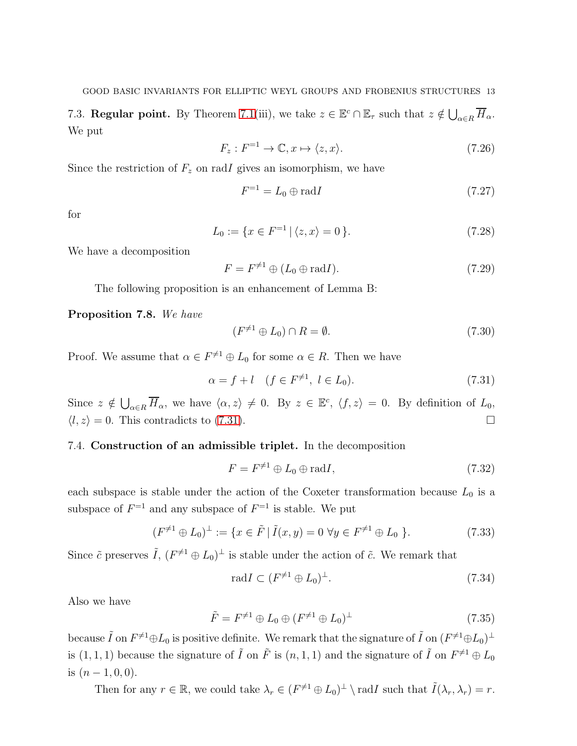7.3. **Regular point.** By Theorem [7.1\(](#page-9-0)iii), we take  $z \in \mathbb{E}^c \cap \mathbb{E}_{\tau}$  such that  $z \notin \bigcup_{\alpha \in R} \overline{H}_{\alpha}$ . We put

$$
F_z: F^{-1} \to \mathbb{C}, x \mapsto \langle z, x \rangle. \tag{7.26}
$$

Since the restriction of  $F_z$  on radI gives an isomorphism, we have

$$
F^{-1} = L_0 \oplus \text{rad}I \tag{7.27}
$$

for

$$
L_0 := \{ x \in F^{-1} \mid \langle z, x \rangle = 0 \}.
$$
 (7.28)

We have a decomposition

$$
F = F^{\neq 1} \oplus (L_0 \oplus \text{rad}I). \tag{7.29}
$$

The following proposition is an enhancement of Lemma B:

<span id="page-12-1"></span>Proposition 7.8. We have

$$
(F^{\neq 1} \oplus L_0) \cap R = \emptyset. \tag{7.30}
$$

Proof. We assume that  $\alpha \in F^{\neq 1} \oplus L_0$  for some  $\alpha \in R$ . Then we have

<span id="page-12-0"></span>
$$
\alpha = f + l \quad (f \in F^{\neq 1}, \ l \in L_0). \tag{7.31}
$$

Since  $z \notin \bigcup_{\alpha \in R} \overline{H}_{\alpha}$ , we have  $\langle \alpha, z \rangle \neq 0$ . By  $z \in \mathbb{E}^c$ ,  $\langle f, z \rangle = 0$ . By definition of  $L_0$ ,  $\langle l, z \rangle = 0$ . This contradicts to [\(7.31\)](#page-12-0).

## 7.4. Construction of an admissible triplet. In the decomposition

$$
F = F^{\neq 1} \oplus L_0 \oplus \text{rad}I,\tag{7.32}
$$

each subspace is stable under the action of the Coxeter transformation because  $L_0$  is a subspace of  $F^{-1}$  and any subspace of  $F^{-1}$  is stable. We put

$$
(F^{\neq 1} \oplus L_0)^{\perp} := \{ x \in \tilde{F} \mid \tilde{I}(x, y) = 0 \,\,\forall y \in F^{\neq 1} \oplus L_0 \,\}.
$$
 (7.33)

Since  $\tilde{c}$  preserves  $\tilde{I}$ ,  $(F^{\neq 1} \oplus L_0)^{\perp}$  is stable under the action of  $\tilde{c}$ . We remark that

$$
\text{rad}I \subset (F^{\neq 1} \oplus L_0)^{\perp}.\tag{7.34}
$$

Also we have

$$
\tilde{F} = F^{\neq 1} \oplus L_0 \oplus (F^{\neq 1} \oplus L_0)^{\perp}
$$
\n(7.35)

because  $\tilde{I}$  on  $F^{\neq 1} \oplus L_0$  is positive definite. We remark that the signature of  $\tilde{I}$  on  $(F^{\neq 1} \oplus L_0)^{\perp}$ is  $(1, 1, 1)$  because the signature of  $\tilde{I}$  on  $\tilde{F}$  is  $(n, 1, 1)$  and the signature of  $\tilde{I}$  on  $F^{\neq 1} \oplus L_0$ is  $(n-1,0,0)$ .

Then for any  $r \in \mathbb{R}$ , we could take  $\lambda_r \in (F^{\neq 1} \oplus L_0)^{\perp} \setminus \text{rad}I$  such that  $\tilde{I}(\lambda_r, \lambda_r) = r$ .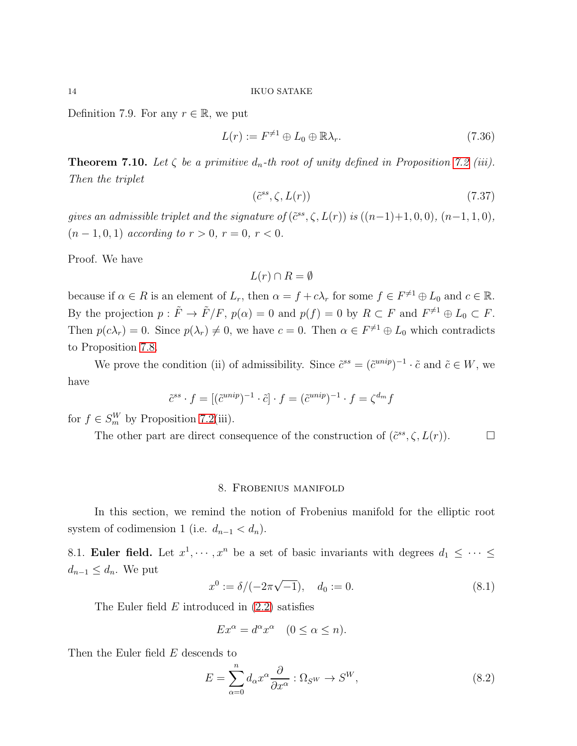Definition 7.9. For any  $r \in \mathbb{R}$ , we put

<span id="page-13-0"></span>
$$
L(r) := F^{\neq 1} \oplus L_0 \oplus \mathbb{R}\lambda_r. \tag{7.36}
$$

**Theorem 7.10.** Let  $\zeta$  be a primitive  $d_n$ -th root of unity defined in Proposition 7.2 (iii). Then the triplet

$$
(\tilde{c}^{ss}, \zeta, L(r))\tag{7.37}
$$

gives an admissible triplet and the signature of  $(\tilde{c}^{ss}, \zeta, L(r))$  is  $((n-1)+1, 0, 0), (n-1, 1, 0),$  $(n-1, 0, 1)$  according to  $r > 0$ ,  $r = 0$ ,  $r < 0$ .

Proof. We have

$$
L(r) \cap R = \emptyset
$$

because if  $\alpha \in R$  is an element of  $L_r$ , then  $\alpha = f + c\lambda_r$  for some  $f \in F^{\neq 1} \oplus L_0$  and  $c \in \mathbb{R}$ . By the projection  $p: \tilde{F} \to \tilde{F}/F$ ,  $p(\alpha) = 0$  and  $p(f) = 0$  by  $R \subset F$  and  $F^{\neq 1} \oplus L_0 \subset F$ . Then  $p(c\lambda_r) = 0$ . Since  $p(\lambda_r) \neq 0$ , we have  $c = 0$ . Then  $\alpha \in F^{\neq 1} \oplus L_0$  which contradicts to Proposition [7.8.](#page-12-1)

We prove the condition (ii) of admissibility. Since  $\tilde{c}^{ss} = (\tilde{c}^{unip})^{-1} \cdot \tilde{c}$  and  $\tilde{c} \in W$ , we have

$$
\tilde{c}^{ss} \cdot f = [(\tilde{c}^{unip})^{-1} \cdot \tilde{c}] \cdot f = (\tilde{c}^{unip})^{-1} \cdot f = \zeta^{d_m} f
$$

for  $f \in S_m^W$  by Proposition 7.2(iii).

The other part are direct consequence of the construction of  $(\tilde{c}^{ss}, \zeta, L(r))$ .

#### 8. Frobenius manifold

In this section, we remind the notion of Frobenius manifold for the elliptic root system of codimension 1 (i.e.  $d_{n-1} < d_n$ ).

8.1. **Euler field.** Let  $x^1, \dots, x^n$  be a set of basic invariants with degrees  $d_1 \leq \dots \leq d_n$  $d_{n-1} \leq d_n$ . We put

<span id="page-13-2"></span>
$$
x^{0} := \delta/(-2\pi\sqrt{-1}), \quad d_{0} := 0.
$$
\n(8.1)

The Euler field  $E$  introduced in  $(2.2)$  satisfies

$$
Ex^{\alpha} = d^{\alpha} x^{\alpha} \quad (0 \le \alpha \le n).
$$

Then the Euler field  $E$  descends to

<span id="page-13-1"></span>
$$
E = \sum_{\alpha=0}^{n} d_{\alpha} x^{\alpha} \frac{\partial}{\partial x^{\alpha}} : \Omega_{S^{W}} \to S^{W}, \qquad (8.2)
$$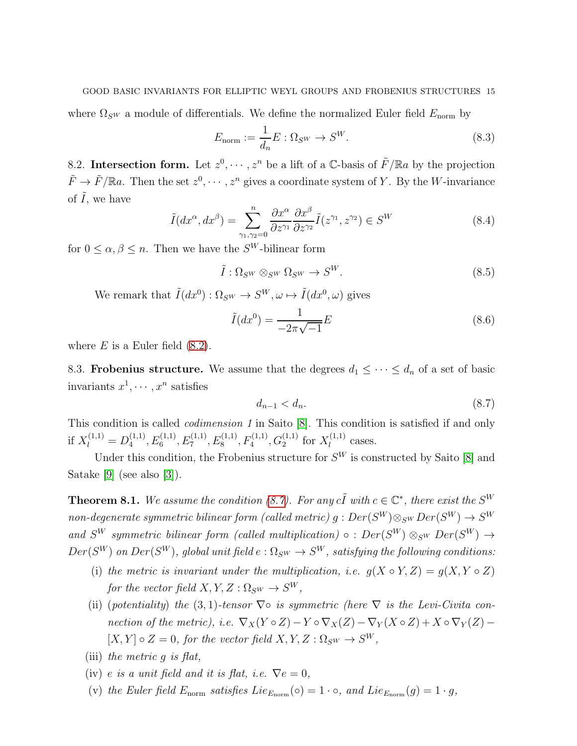#### GOOD BASIC INVARIANTS FOR ELLIPTIC WEYL GROUPS AND FROBENIUS STRUCTURES 15

where  $\Omega_{\mathcal{S}^W}$  a module of differentials. We define the normalized Euler field  $E_{\text{norm}}$  by

$$
E_{\text{norm}} := \frac{1}{d_n} E : \Omega_{S^W} \to S^W. \tag{8.3}
$$

8.2. Intersection form. Let  $z^0, \dots, z^n$  be a lift of a C-basis of  $\tilde{F}/\mathbb{R}a$  by the projection  $\tilde{F} \to \tilde{F}/\mathbb{R}a$ . Then the set  $z^0, \dots, z^n$  gives a coordinate system of Y. By the W-invariance of  $\tilde{I}$ , we have

$$
\tilde{I}(dx^{\alpha}, dx^{\beta}) = \sum_{\gamma_1, \gamma_2 = 0}^{n} \frac{\partial x^{\alpha}}{\partial z^{\gamma_1}} \frac{\partial x^{\beta}}{\partial z^{\gamma_2}} \tilde{I}(z^{\gamma_1}, z^{\gamma_2}) \in S^W
$$
\n(8.4)

for  $0 \leq \alpha, \beta \leq n$ . Then we have the  $S^W$ -bilinear form

$$
\tilde{I}: \Omega_{S^W} \otimes_{S^W} \Omega_{S^W} \to S^W. \tag{8.5}
$$

We remark that  $\tilde{I}(dx^0) : \Omega_{SW} \to S^W, \omega \mapsto \tilde{I}(dx^0, \omega)$  gives

<span id="page-14-2"></span>
$$
\tilde{I}(dx^0) = \frac{1}{-2\pi\sqrt{-1}}E
$$
\n(8.6)

where  $E$  is a Euler field  $(8.2)$ .

8.3. **Frobenius structure.** We assume that the degrees  $d_1 \leq \cdots \leq d_n$  of a set of basic invariants  $x^1, \cdots, x^n$  satisfies

<span id="page-14-0"></span>
$$
d_{n-1} < d_n. \tag{8.7}
$$

This condition is called codimension 1 in Saito [\[8\]](#page-25-1). This condition is satisfied if and only if  $X_l^{(1,1)} = D_4^{(1,1)}$  $A_4^{(1,1)}, E_6^{(1,1)}, E_7^{(1,1)}, E_8^{(1,1)}, F_4^{(1,1)}, G_2^{(1,1)}$  for  $X_l^{(1,1)}$  $\iota^{(1,1)}$  cases.

Under this condition, the Frobenius structure for  $S<sup>W</sup>$  is constructed by Saito [\[8\]](#page-25-1) and Satake [\[9\]](#page-25-2) (see also [\[3\]](#page-25-8)).

<span id="page-14-1"></span>**Theorem 8.1.** We assume the condition [\(8.7\)](#page-14-0). For any  $c\tilde{I}$  with  $c \in \mathbb{C}^*$ , there exist the  $S^W$  $non-degenerate \ symmetric \ bilinear \ form \ (called \ metric) \ g : Der(S^W) \otimes_{S^W} Der(S^W) \to S^W$ and  $S^W$  symmetric bilinear form (called multiplication)  $\circ$  :  $Der(S^W) \otimes_{S^W} Der(S^W) \rightarrow$  $Der(S^{W})$  on  $Der(S^{W})$ , global unit field  $e: \Omega_{S^{W}} \to S^{W}$ , satisfying the following conditions:

- (i) the metric is invariant under the multiplication, i.e.  $g(X \circ Y, Z) = g(X, Y \circ Z)$ for the vector field  $X, Y, Z: \Omega_{S^W} \to S^W$ ,
- (ii) (potentiality) the (3, 1)-tensor  $\nabla \circ$  is symmetric (here  $\nabla$  is the Levi-Civita connection of the metric), i.e.  $\nabla_X (Y \circ Z) - Y \circ \nabla_X (Z) - \nabla_Y (X \circ Z) + X \circ \nabla_Y (Z) [X, Y] \circ Z = 0$ , for the vector field  $X, Y, Z : \Omega_{S^W} \to S^W$ ,
- (iii) the metric  $q$  is flat,
- (iv) e is a unit field and it is flat, i.e.  $\nabla e = 0$ ,
- (v) the Euler field  $E_{\text{norm}}$  satisfies  $Lie_{E_{\text{norm}}}(\circ) = 1 \cdot \circ$ , and  $Lie_{E_{\text{norm}}}(g) = 1 \cdot g$ ,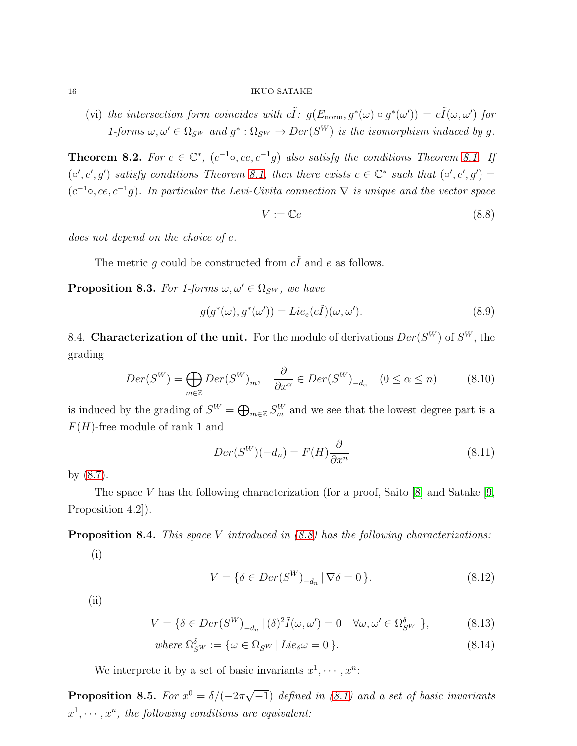(vi) the intersection form coincides with  $c\tilde{I}: g(E_{\text{norm}}, g^*(\omega) \circ g^*(\omega')) = c\tilde{I}(\omega, \omega')$  for 1-forms  $\omega, \omega' \in \Omega_{\mathcal{S}^W}$  and  $g^* : \Omega_{\mathcal{S}^W} \to Der(\mathcal{S}^W)$  is the isomorphism induced by g.

**Theorem 8.2.** For  $c \in \mathbb{C}^*$ ,  $(c^{-1} \circ, ce, c^{-1}g)$  also satisfy the conditions Theorem [8.1.](#page-14-1) If  $(\circ', e', g')$  satisfy conditions Theorem [8.1,](#page-14-1) then there exists  $c \in \mathbb{C}^*$  such that  $(\circ', e', g') =$  $(c^{-1} \circ, ce, c^{-1}g)$ . In particular the Levi-Civita connection  $\nabla$  is unique and the vector space

<span id="page-15-0"></span>
$$
V := \mathbb{C}e \tag{8.8}
$$

does not depend on the choice of e.

The metric g could be constructed from  $c\tilde{I}$  and e as follows.

<span id="page-15-2"></span>**Proposition 8.3.** For 1-forms  $\omega, \omega' \in \Omega_{\mathcal{S}^W}$ , we have

$$
g(g^*(\omega), g^*(\omega')) = Lie_e(c\tilde{I})(\omega, \omega').
$$
\n(8.9)

8.4. Characterization of the unit. For the module of derivations  $Der(S^W)$  of  $S^W$ , the grading

$$
Der(S^{W}) = \bigoplus_{m \in \mathbb{Z}} Der(S^{W})_{m}, \quad \frac{\partial}{\partial x^{\alpha}} \in Der(S^{W})_{-d_{\alpha}} \quad (0 \le \alpha \le n)
$$
 (8.10)

is induced by the grading of  $S^W = \bigoplus_{m \in \mathbb{Z}} S_m^W$  and we see that the lowest degree part is a  $F(H)$ -free module of rank 1 and

$$
Der(S^{W})(-d_{n}) = F(H)\frac{\partial}{\partial x^{n}}
$$
\n(8.11)

by [\(8.7\)](#page-14-0).

The space V has the following characterization (for a proof, Saito  $[8]$  and Satake  $[9]$ , Proposition 4.2..

<span id="page-15-1"></span>**Proposition 8.4.** This space V introduced in  $(8.8)$  has the following characterizations:

(i)

$$
V = \{ \delta \in Der(S^W)_{-d_n} \mid \nabla \delta = 0 \}. \tag{8.12}
$$

(ii)

$$
V = \{ \delta \in Der(S^W)_{-d_n} \mid (\delta)^2 \tilde{I}(\omega, \omega') = 0 \quad \forall \omega, \omega' \in \Omega_{S^W}^{\delta} \},
$$
(8.13)

where 
$$
\Omega_{SW}^{\delta} := \{ \omega \in \Omega_{SW} \mid Lie_{\delta} \omega = 0 \}.
$$
 (8.14)

We interprete it by a set of basic invariants  $x^1, \dots, x^n$ :

**Proposition 8.5.** For  $x^0 = \delta/(-2\pi\sqrt{-1})$  defined in [\(8.1\)](#page-13-2) and a set of basic invariants  $x^1, \dots, x^n$ , the following conditions are equivalent: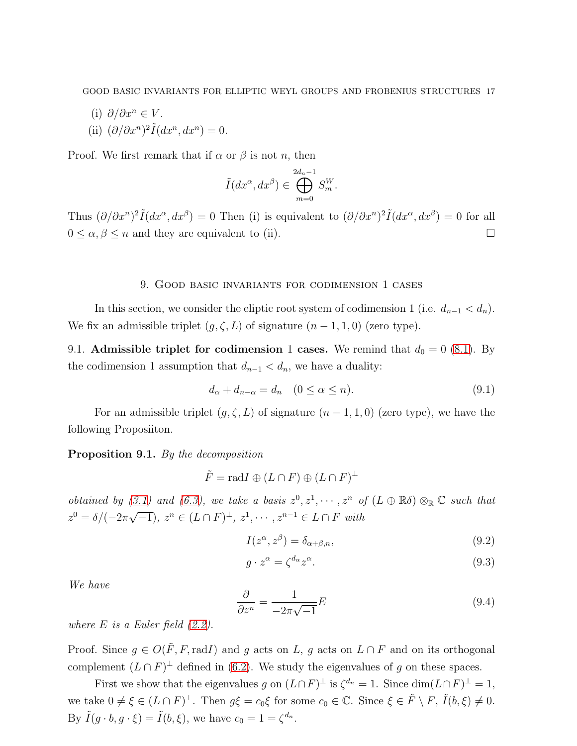- (i)  $\partial/\partial x^n \in V$ .
- (ii)  $\left(\partial/\partial x^n\right)^2 \tilde{I}(dx^n, dx^n) = 0.$

Proof. We first remark that if  $\alpha$  or  $\beta$  is not n, then

$$
\tilde{I}(dx^{\alpha}, dx^{\beta}) \in \bigoplus_{m=0}^{2d_n-1} S_m^W.
$$

Thus  $(\partial/\partial x^n)^2 \tilde{I}(dx^\alpha, dx^\beta) = 0$  Then (i) is equivalent to  $(\partial/\partial x^n)^2 \tilde{I}(dx^\alpha, dx^\beta) = 0$  for all  $0 \le \alpha, \beta \le n$  and they are equivalent to (ii).

#### 9. Good basic invariants for codimension 1 cases

In this section, we consider the eliptic root system of codimension 1 (i.e.  $d_{n-1} < d_n$ ). We fix an admissible triplet  $(g, \zeta, L)$  of signature  $(n - 1, 1, 0)$  (zero type).

9.1. Admissible triplet for codimension 1 cases. We remind that  $d_0 = 0$  [\(8.1\)](#page-13-2). By the codimension 1 assumption that  $d_{n-1} < d_n$ , we have a duality:

<span id="page-16-0"></span>
$$
d_{\alpha} + d_{n-\alpha} = d_n \quad (0 \le \alpha \le n). \tag{9.1}
$$

For an admissible triplet  $(g, \zeta, L)$  of signature  $(n - 1, 1, 0)$  (zero type), we have the following Proposiiton.

## <span id="page-16-2"></span>Proposition 9.1. By the decomposition

$$
\tilde{F} = \text{rad}I \oplus (L \cap F) \oplus (L \cap F)^{\perp}
$$

obtained by [\(3.1\)](#page-3-2) and [\(6.3\)](#page-8-0), we take a basis  $z^0, z^1, \dots, z^n$  of  $(L \oplus \mathbb{R}\delta) \otimes_{\mathbb{R}} \mathbb{C}$  such that  $z^0 = \delta/(-2\pi\sqrt{-1}), z^n \in (L \cap F)^{\perp}, z^1, \cdots, z^{n-1} \in L \cap F$  with

<span id="page-16-3"></span>
$$
I(z^{\alpha}, z^{\beta}) = \delta_{\alpha+\beta,n},\tag{9.2}
$$

$$
g \cdot z^{\alpha} = \zeta^{d_{\alpha}} z^{\alpha}.
$$
\n(9.3)

We have

<span id="page-16-1"></span>
$$
\frac{\partial}{\partial z^n} = \frac{1}{-2\pi\sqrt{-1}}E\tag{9.4}
$$

where  $E$  is a Euler field  $(2.2)$ .

Proof. Since  $g \in O(F, F, \text{rad}I)$  and g acts on  $L, g$  acts on  $L \cap F$  and on its orthogonal complement  $(L \cap F)^{\perp}$  defined in [\(6.2\)](#page-8-1). We study the eigenvalues of g on these spaces.

First we show that the eigenvalues g on  $(L \cap F)^{\perp}$  is  $\zeta^{d_n} = 1$ . Since  $\dim(L \cap F)^{\perp} = 1$ , we take  $0 \neq \xi \in (L \cap F)^{\perp}$ . Then  $g\xi = c_0\xi$  for some  $c_0 \in \mathbb{C}$ . Since  $\xi \in \tilde{F} \setminus F$ ,  $\tilde{I}(b,\xi) \neq 0$ . By  $\tilde{I}(g \cdot b, g \cdot \xi) = \tilde{I}(b, \xi)$ , we have  $c_0 = 1 = \zeta^{d_n}$ .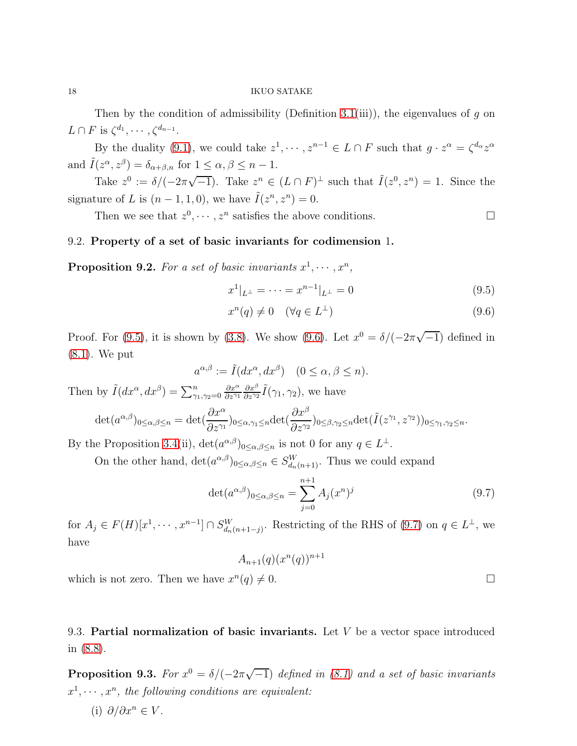Then by the condition of admissibility (Definition [3.1\(](#page-3-0)iii)), the eigenvalues of g on  $L \cap F$  is  $\zeta^{d_1}, \cdots, \zeta^{d_{n-1}}$ .

By the duality [\(9.1\)](#page-16-0), we could take  $z^1, \dots, z^{n-1} \in L \cap F$  such that  $g \cdot z^{\alpha} = \zeta^{d_{\alpha}} z^{\alpha}$ and  $\tilde{I}(z^{\alpha}, z^{\beta}) = \delta_{\alpha+\beta,n}$  for  $1 \leq \alpha, \beta \leq n-1$ .

Take  $z^0 := \delta/(-2\pi\sqrt{-1})$ . Take  $z^n \in (L \cap F)^{\perp}$  such that  $\tilde{I}(z^0, z^n) = 1$ . Since the signature of L is  $(n-1,1,0)$ , we have  $\tilde{I}(z^n, z^n) = 0$ .

Then we see that  $z^0, \dots, z^n$  satisfies the above conditions.

## 9.2. Property of a set of basic invariants for codimension 1.

**Proposition 9.2.** For a set of basic invariants  $x^1, \dots, x^n$ ,

<span id="page-17-0"></span>
$$
x^{1}|_{L^{\perp}} = \dots = x^{n-1}|_{L^{\perp}} = 0 \tag{9.5}
$$

$$
x^n(q) \neq 0 \quad (\forall q \in L^\perp)
$$
\n
$$
(9.6)
$$

Proof. For [\(9.5\)](#page-17-0), it is shown by [\(3.8\)](#page-4-2). We show [\(9.6\)](#page-17-0). Let  $x^0 = \delta/(-2\pi\sqrt{-1})$  defined in [\(8.1\)](#page-13-2). We put

$$
a^{\alpha,\beta} := \tilde{I}(dx^{\alpha}, dx^{\beta}) \quad (0 \le \alpha, \beta \le n).
$$

Then by  $\tilde{I}(dx^{\alpha}, dx^{\beta}) = \sum_{\gamma_1, \gamma_2=0}^n$  $\partial x^{\alpha}$  $\partial z^{\gamma}$ 1  $\partial x^{\beta}$  $\frac{\partial x^{\beta}}{\partial z^{\gamma_2}} \tilde{I}(\gamma_1, \gamma_2)$ , we have

$$
\det(a^{\alpha,\beta})_{0\leq\alpha,\beta\leq n} = \det(\frac{\partial x^{\alpha}}{\partial z^{\gamma_1}})_{0\leq\alpha,\gamma_1\leq n} \det(\frac{\partial x^{\beta}}{\partial z^{\gamma_2}})_{0\leq\beta,\gamma_2\leq n} \det(\tilde{I}(z^{\gamma_1},z^{\gamma_2}))_{0\leq\gamma_1,\gamma_2\leq n}.
$$

By the Proposition 3.4(ii),  $\det(a^{\alpha,\beta})_{0\leq\alpha,\beta\leq n}$  is not 0 for any  $q\in L^{\perp}$ .

On the other hand,  $\det(a^{\alpha,\beta})_{0\leq\alpha,\beta\leq n}\in S_{d_n(n+1)}^W$ . Thus we could expand

<span id="page-17-1"></span>
$$
\det(a^{\alpha,\beta})_{0\le\alpha,\beta\le n} = \sum_{j=0}^{n+1} A_j(x^n)^j
$$
\n(9.7)

for  $A_j \in F(H)[x^1, \dots, x^{n-1}] \cap S_{d_n(n+1-j)}^W$ . Restricting of the RHS of [\(9.7\)](#page-17-1) on  $q \in L^{\perp}$ , we have

$$
A_{n+1}(q)(x^n(q))^{n+1}
$$

which is not zero. Then we have  $x^n$  $(q) \neq 0.$ 

9.3. Partial normalization of basic invariants. Let  $V$  be a vector space introduced in [\(8.8\)](#page-15-0).

<span id="page-17-2"></span>**Proposition 9.3.** For  $x^0 = \delta/(-2\pi\sqrt{-1})$  defined in [\(8.1\)](#page-13-2) and a set of basic invariants  $x^1, \dots, x^n$ , the following conditions are equivalent:

(i)  $\partial/\partial x^n \in V$ .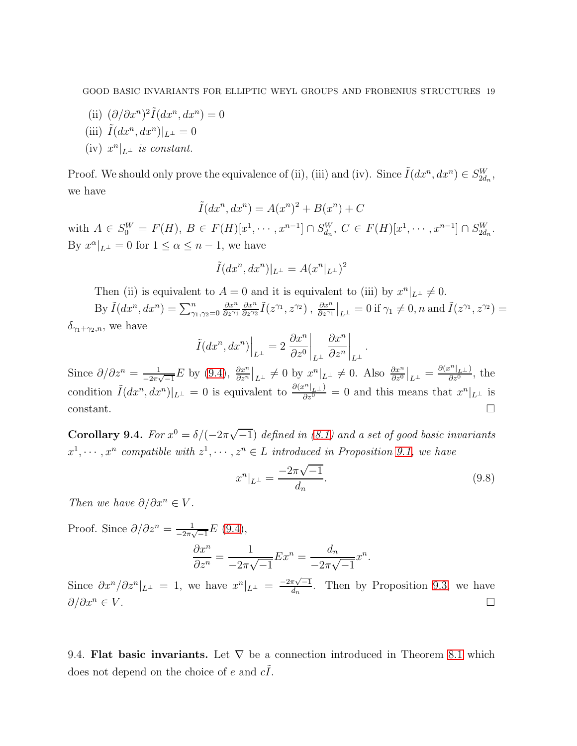- (ii)  $(\partial/\partial x^n)^2 \tilde{I}(dx^n, dx^n) = 0$
- (iii)  $\tilde{I}(dx^n, dx^n)|_{L^{\perp}} = 0$

(iv) 
$$
x^n|_{L^{\perp}}
$$
 is constant.

Proof. We should only prove the equivalence of (ii), (iii) and (iv). Since  $\tilde{I}(dx^n, dx^n) \in S_{2d_n}^W$ , we have

$$
\tilde{I}(dx^n, dx^n) = A(x^n)^2 + B(x^n) + C
$$

with  $A \in S_0^W = F(H)$ ,  $B \in F(H)[x^1, \dots, x^{n-1}] \cap S_{d_n}^W$ ,  $C \in F(H)[x^1, \dots, x^{n-1}] \cap S_{2d_n}^W$ . By  $x^{\alpha}|_{L^{\perp}} = 0$  for  $1 \leq \alpha \leq n-1$ , we have

$$
\tilde{I}(dx^n, dx^n)|_{L^{\perp}} = A(x^n|_{L^{\perp}})^2
$$

Then (ii) is equivalent to  $A = 0$  and it is equivalent to (iii) by  $x^n|_{L^{\perp}} \neq 0$ .

By  $ilde{I}(dx^n, dx^n) = \sum_{\gamma_1, \gamma_2=0}^n$  $\partial x^n$  $\partial z^{\gamma_1}$  $\partial x^n$  $\frac{\partial x^n}{\partial z^{\gamma_2}} \tilde{I}(z^{\gamma_1}, z^{\gamma_2}), \frac{\partial x^n}{\partial z^{\gamma_1}}\Big|_{L^{\perp}} = 0 \text{ if } \gamma_1 \neq 0, n \text{ and } \tilde{I}(z^{\gamma_1}, z^{\gamma_2}) =$  $\delta_{\gamma_1+\gamma_2,n}$ , we have

$$
\tilde{I}(dx^n, dx^n)\Big|_{L^{\perp}} = 2 \left. \frac{\partial x^n}{\partial z^0} \right|_{L^{\perp}} \left. \frac{\partial x^n}{\partial z^n} \right|_{L^{\perp}}.
$$

Since  $\partial/\partial z^n = \frac{1}{z^{n-1}}$  $\frac{1}{-2\pi\sqrt{-1}}E$  by  $(9.4)$ ,  $\frac{\partial x^n}{\partial z^n}\big|_{L^{\perp}} \neq 0$  by  $x^n\big|_{L^{\perp}} \neq 0$ . Also  $\frac{\partial x^n}{\partial z^0}\big|_{L^{\perp}} = \frac{\partial (x^n\big|_{L^{\perp}})}{\partial z^0}$  $\frac{\partial^2 \left(1L \perp \right)}{\partial z^0}$ , the condition  $\tilde{I}(dx^n, dx^n)|_{L^{\perp}} = 0$  is equivalent to  $\frac{\partial(x^n|_{L^{\perp}})}{\partial z^n} = 0$  and this means that  $x^n|_{L^{\perp}}$  is  $\Box$ constant.

<span id="page-18-0"></span>**Corollary 9.4.** For  $x^0 = \delta/(-2\pi\sqrt{-1})$  defined in [\(8.1\)](#page-13-2) and a set of good basic invariants  $x^1, \dots, x^n$  compatible with  $z^1, \dots, z^n \in L$  introduced in Proposition [9.1,](#page-16-2) we have

<span id="page-18-1"></span>
$$
x^n|_{L^\perp} = \frac{-2\pi\sqrt{-1}}{d_n}.\tag{9.8}
$$

Then we have  $\partial/\partial x^n \in V$ .

Proof. Since 
$$
\partial/\partial z^n = \frac{1}{-2\pi\sqrt{-1}}E(9.4),
$$
  

$$
\frac{\partial x^n}{\partial z^n} = \frac{1}{-2\pi\sqrt{-1}}Ex^n = \frac{d_n}{-2\pi\sqrt{-1}}x^n.
$$

Since  $\partial x^n/\partial z^n|_{L^{\perp}} = 1$ , we have  $x^n|_{L^{\perp}} = \frac{-2\pi\sqrt{-1}}{d_n}$ . Then by Proposition [9.3,](#page-17-2) we have  $\partial/\partial x^n \in V$ .

9.4. Flat basic invariants. Let  $\nabla$  be a connection introduced in Theorem [8.1](#page-14-1) which does not depend on the choice of e and  $c\tilde{I}$ .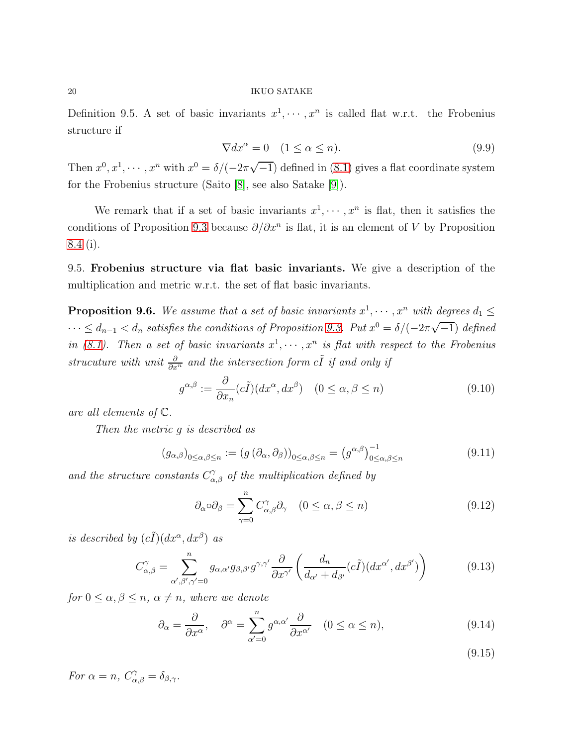Definition 9.5. A set of basic invariants  $x^1, \dots, x^n$  is called flat w.r.t. the Frobenius structure if

$$
\nabla dx^{\alpha} = 0 \quad (1 \le \alpha \le n). \tag{9.9}
$$

Then  $x^0, x^1, \dots, x^n$  with  $x^0 = \delta/(-2\pi\sqrt{-1})$  defined in [\(8.1\)](#page-13-2) gives a flat coordinate system for the Frobenius structure (Saito [\[8\]](#page-25-1), see also Satake [\[9\]](#page-25-2)).

We remark that if a set of basic invariants  $x^1, \dots, x^n$  is flat, then it satisfies the conditions of Proposition [9.3](#page-17-2) because  $\partial/\partial x^n$  is flat, it is an element of V by Proposition [8.4](#page-15-1) (i).

9.5. Frobenius structure via flat basic invariants. We give a description of the multiplication and metric w.r.t. the set of flat basic invariants.

<span id="page-19-1"></span>**Proposition 9.6.** We assume that a set of basic invariants  $x^1, \dots, x^n$  with degrees  $d_1 \leq$  $\cdots \leq d_{n-1} < d_n$  satisfies the conditions of Proposition [9.3.](#page-17-2) Put  $x^0 = \delta/(-2\pi\sqrt{-1})$  defined in [\(8.1\)](#page-13-2). Then a set of basic invariants  $x^1, \dots, x^n$  is flat with respect to the Frobenius strucuture with unit  $\frac{\partial}{\partial x^n}$  and the intersection form  $c\tilde{I}$  if and only if

$$
g^{\alpha,\beta} := \frac{\partial}{\partial x_n} (c\tilde{I}) (dx^{\alpha}, dx^{\beta}) \quad (0 \le \alpha, \beta \le n)
$$
\n(9.10)

are all elements of C.

Then the metric g is described as

<span id="page-19-0"></span>
$$
(g_{\alpha,\beta})_{0 \le \alpha,\beta \le n} := (g(\partial_{\alpha}, \partial_{\beta}))_{0 \le \alpha,\beta \le n} = (g^{\alpha,\beta})_{0 \le \alpha,\beta \le n}^{-1}
$$
(9.11)

and the structure constants  $C^{\gamma}_{\alpha,\beta}$  of the multiplication defined by

$$
\partial_{\alpha} \circ \partial_{\beta} = \sum_{\gamma=0}^{n} C_{\alpha,\beta}^{\gamma} \partial_{\gamma} \quad (0 \le \alpha, \beta \le n)
$$
\n(9.12)

is described by  $(c\tilde{I})(dx^{\alpha}, dx^{\beta})$  as

$$
C_{\alpha,\beta}^{\gamma} = \sum_{\alpha',\beta',\gamma'=0}^{n} g_{\alpha,\alpha'} g_{\beta,\beta'} g^{\gamma,\gamma'} \frac{\partial}{\partial x^{\gamma'}} \left( \frac{d_n}{d_{\alpha'} + d_{\beta'}} (c\tilde{I}) (dx^{\alpha'}, dx^{\beta'}) \right)
$$
(9.13)

for  $0 \leq \alpha, \beta \leq n, \alpha \neq n$ , where we denote

$$
\partial_{\alpha} = \frac{\partial}{\partial x^{\alpha}}, \quad \partial^{\alpha} = \sum_{\alpha'=0}^{n} g^{\alpha, \alpha'} \frac{\partial}{\partial x^{\alpha'}} \quad (0 \le \alpha \le n), \tag{9.14}
$$

(9.15)

For  $\alpha = n$ ,  $C^{\gamma}_{\alpha,\beta} = \delta_{\beta,\gamma}$ .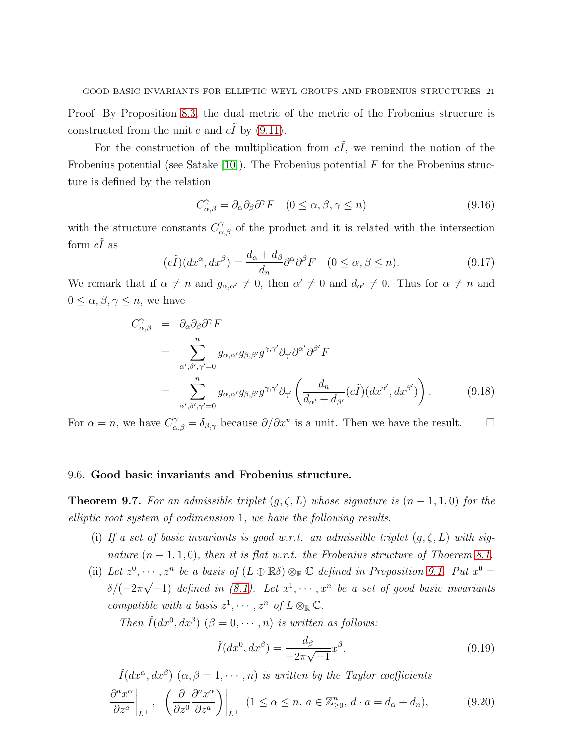Proof. By Proposition [8.3,](#page-15-2) the dual metric of the metric of the Frobenius strucrure is constructed from the unit e and  $c\tilde{I}$  by [\(9.11\)](#page-19-0).

For the construction of the multiplication from  $c\tilde{I}$ , we remind the notion of the Frobenius potential (see Satake [\[10\]](#page-26-2)). The Frobenius potential  $F$  for the Frobenius structure is defined by the relation

$$
C_{\alpha,\beta}^{\gamma} = \partial_{\alpha}\partial_{\beta}\partial^{\gamma}F \quad (0 \le \alpha, \beta, \gamma \le n)
$$
\n(9.16)

with the structure constants  $C^{\gamma}_{\alpha,\beta}$  of the product and it is related with the intersection form  $c\tilde{I}$  as

$$
(c\tilde{I})(dx^{\alpha}, dx^{\beta}) = \frac{d_{\alpha} + d_{\beta}}{d_n} \partial^{\alpha} \partial^{\beta} F \quad (0 \le \alpha, \beta \le n). \tag{9.17}
$$

We remark that if  $\alpha \neq n$  and  $g_{\alpha,\alpha'} \neq 0$ , then  $\alpha' \neq 0$  and  $d_{\alpha'} \neq 0$ . Thus for  $\alpha \neq n$  and  $0 \leq \alpha, \beta, \gamma \leq n$ , we have

$$
C^{\gamma}_{\alpha,\beta} = \partial_{\alpha}\partial_{\beta}\partial^{\gamma}F
$$
  
= 
$$
\sum_{\alpha',\beta',\gamma'=0}^{n} g_{\alpha,\alpha'}g_{\beta,\beta'}g^{\gamma,\gamma'}\partial_{\gamma'}\partial^{\alpha'}\partial^{\beta'}F
$$
  
= 
$$
\sum_{\alpha',\beta',\gamma'=0}^{n} g_{\alpha,\alpha'}g_{\beta,\beta'}g^{\gamma,\gamma'}\partial_{\gamma'}\left(\frac{d_n}{d_{\alpha'}+d_{\beta'}}(c\tilde{I})(dx^{\alpha'},dx^{\beta'})\right).
$$
(9.18)

For  $\alpha = n$ , we have  $C^{\gamma}_{\alpha,\beta} = \delta_{\beta,\gamma}$  because  $\partial/\partial x^n$  is a unit. Then we have the result.  $\Box$ 

## 9.6. Good basic invariants and Frobenius structure.

<span id="page-20-2"></span>**Theorem 9.7.** For an admissible triplet  $(g, \zeta, L)$  whose signature is  $(n - 1, 1, 0)$  for the elliptic root system of codimension 1, we have the following results.

- (i) If a set of basic invariants is good w.r.t. an admissible triplet  $(g,\zeta,L)$  with signature  $(n-1,1,0)$ , then it is flat w.r.t. the Frobenius structure of Thoerem [8.1.](#page-14-1)
- (ii) Let  $z^0, \dots, z^n$  be a basis of  $(L \oplus \mathbb{R}\delta) \otimes_{\mathbb{R}} \mathbb{C}$  defined in Proposition [9.1.](#page-16-2) Put  $x^0 =$  $\delta/(-2\pi\sqrt{-1})$  defined in [\(8.1\)](#page-13-2). Let  $x^1, \dots, x^n$  be a set of good basic invariants compatible with a basis  $z^1, \cdots, z^n$  of  $L \otimes_{\mathbb{R}} \mathbb{C}$ .

Then  $\tilde{I}(dx^0, dx^\beta)$   $(\beta = 0, \dots, n)$  is written as follows:

<span id="page-20-1"></span>
$$
\tilde{I}(dx^0, dx^\beta) = \frac{d_\beta}{-2\pi\sqrt{-1}}x^\beta.
$$
\n(9.19)

<span id="page-20-0"></span>
$$
\tilde{I}(dx^{\alpha}, dx^{\beta}) \ (\alpha, \beta = 1, \cdots, n) \ \text{is written by the Taylor coefficients}
$$
\n
$$
\frac{\partial^{a} x^{\alpha}}{\partial z^{a}} \bigg|_{L^{\perp}}, \quad \left(\frac{\partial}{\partial z^{0}} \frac{\partial^{a} x^{\alpha}}{\partial z^{a}}\right) \bigg|_{L^{\perp}} \ (1 \leq \alpha \leq n, \ a \in \mathbb{Z}_{\geq 0}^{n}, \ d \cdot a = d_{\alpha} + d_{n}), \tag{9.20}
$$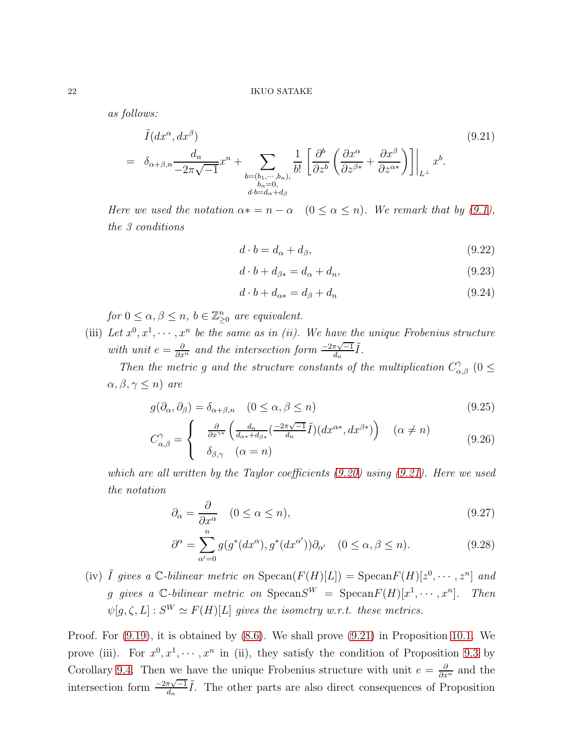as follows:

<span id="page-21-0"></span>
$$
\tilde{I}(dx^{\alpha}, dx^{\beta}) = \delta_{\alpha+\beta,n} \frac{d_n}{-2\pi\sqrt{-1}} x^n + \sum_{\substack{b=(b_1,\cdots,b_n),\\b_n=0,\\d^b=d_{\alpha}+d_{\beta}}} \frac{1}{b!} \left[ \frac{\partial^b}{\partial z^b} \left( \frac{\partial x^{\alpha}}{\partial z^{\beta*}} + \frac{\partial x^{\beta}}{\partial z^{\alpha*}} \right) \right] \Big|_{L^{\perp}} x^b.
$$
\n(9.21)

Here we used the notation  $\alpha * = n - \alpha$   $(0 \le \alpha \le n)$ . We remark that by [\(9.1\)](#page-16-0), the 3 conditions

$$
d \cdot b = d_{\alpha} + d_{\beta},\tag{9.22}
$$

$$
d \cdot b + d_{\beta*} = d_{\alpha} + d_n,\tag{9.23}
$$

$$
d \cdot b + d_{\alpha*} = d_{\beta} + d_n \tag{9.24}
$$

for  $0 \leq \alpha, \beta \leq n$ ,  $b \in \mathbb{Z}_{\geq 0}^n$  are equivalent.

(iii) Let  $x^0, x^1, \dots, x^n$  be the same as in (ii). We have the unique Frobenius structure with unit  $e = \frac{\partial}{\partial x^n}$  and the intersection form  $\frac{-2\pi\sqrt{-1}}{d_n}\tilde{I}$ .

Then the metric g and the structure constants of the multiplication  $C^{\gamma}_{\alpha,\beta}$  (0  $\leq$  $\alpha, \beta, \gamma \leq n$ ) are

<span id="page-21-1"></span>
$$
g(\partial_{\alpha}, \partial_{\beta}) = \delta_{\alpha+\beta,n} \quad (0 \le \alpha, \beta \le n)
$$
\n(9.25)

$$
C_{\alpha,\beta}^{\gamma} = \begin{cases} \frac{\partial}{\partial x^{\gamma*}} \left( \frac{d_n}{d_{\alpha*} + d_{\beta*}} \left( \frac{-2\pi\sqrt{-1}}{d_n} \tilde{I} \right) \left( dx^{\alpha*}, dx^{\beta*} \right) \right) & (\alpha \neq n) \\ \delta_{\beta,\gamma} & (\alpha = n) \end{cases}
$$
(9.26)

which are all written by the Taylor coefficients [\(9.20\)](#page-20-0) using [\(9.21\)](#page-21-0). Here we used the notation

$$
\partial_{\alpha} = \frac{\partial}{\partial x^{\alpha}} \quad (0 \le \alpha \le n), \tag{9.27}
$$

$$
\partial^{\alpha} = \sum_{\alpha'=0}^{n} g(g^*(dx^{\alpha}), g^*(dx^{\alpha'})) \partial_{\alpha'} \quad (0 \le \alpha, \beta \le n). \tag{9.28}
$$

(iv)  $\tilde{I}$  gives a C-bilinear metric on  $\text{Specan}(F(H)[L]) = \text{Specan}(F(H)[z^0, \dots, z^n]$  and g gives a C-bilinear metric on  $\text{Specan} S^W = \text{Specan} F(H)[x^1, \dots, x^n]$ . Then  $\psi[g,\zeta,L]:S^W\simeq F(H)[L]$  gives the isometry w.r.t. these metrics.

Proof. For [\(9.19\)](#page-20-1), it is obtained by [\(8.6\)](#page-14-2). We shall prove [\(9.21\)](#page-21-0) in Proposition [10.1.](#page-22-0) We prove (iii). For  $x^0, x^1, \dots, x^n$  in (ii), they satisfy the condition of Proposition [9.3](#page-17-2) by Corollary [9.4.](#page-18-0) Then we have the unique Frobenius structure with unit  $e = \frac{\partial}{\partial x^n}$  and the intersection form  $\frac{-2\pi\sqrt{-1}}{d_n}\tilde{I}$ . The other parts are also direct consequences of Proposition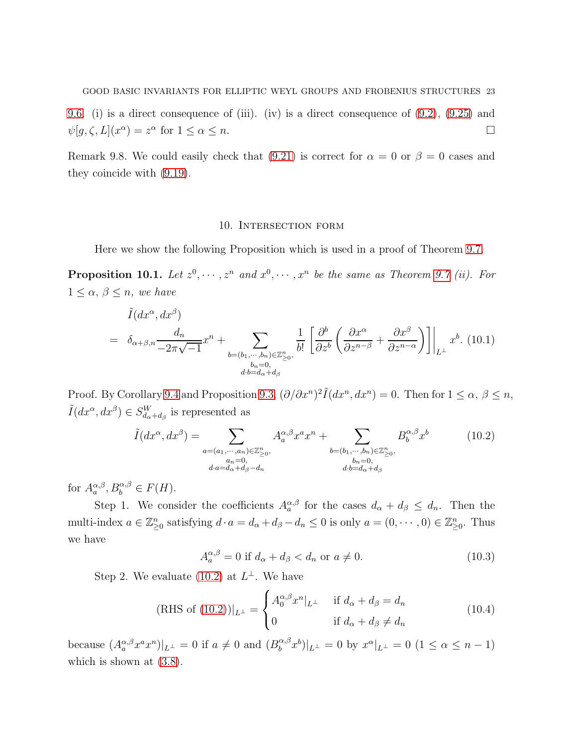[9.6.](#page-19-1) (i) is a direct consequence of (iii). (iv) is a direct consequence of [\(9.2\)](#page-16-3), [\(9.25\)](#page-21-1) and  $\psi[g,\zeta,L](x^{\alpha}) = z^{\alpha}$  for  $1 \leq \alpha \leq n$ .

Remark 9.8. We could easily check that [\(9.21\)](#page-21-0) is correct for  $\alpha = 0$  or  $\beta = 0$  cases and they coincide with [\(9.19\)](#page-20-1).

#### 10. Intersection form

Here we show the following Proposition which is used in a proof of Theorem [9.7.](#page-20-2)

<span id="page-22-0"></span>**Proposition 10.1.** Let  $z^0, \dots, z^n$  and  $x^0, \dots, x^n$  be the same as Theorem [9.7](#page-20-2) (ii). For  $1 \leq \alpha, \beta \leq n$ , we have

$$
\tilde{I}(dx^{\alpha}, dx^{\beta}) = \delta_{\alpha+\beta,n} \frac{d_n}{-2\pi\sqrt{-1}} x^n + \sum_{\substack{b=(b_1,\cdots,b_n)\in\mathbb{Z}_{\geq 0}^n,\\b_n=0,\\d\cdot b=d_{\alpha}+d_{\beta}}} \frac{1}{b!} \left[ \frac{\partial^b}{\partial z^b} \left( \frac{\partial x^{\alpha}}{\partial z^{n-\beta}} + \frac{\partial x^{\beta}}{\partial z^{n-\alpha}} \right) \right] \Big|_{L^{\perp}} x^b. (10.1)
$$

Proof. By Corollary [9.4](#page-18-0) and Proposition [9.3,](#page-17-2)  $(\partial/\partial x^n)^2 \tilde{I}(dx^n, dx^n) = 0$ . Then for  $1 \le \alpha, \beta \le n$ ,  $ilde{I}(dx^{\alpha}, dx^{\beta}) \in S_{d_{\alpha}+d_{\beta}}^{W}$  is represented as

<span id="page-22-1"></span>
$$
\tilde{I}(dx^{\alpha}, dx^{\beta}) = \sum_{\substack{a=(a_1,\cdots,a_n)\in\mathbb{Z}_{\geq 0}^n,\\a_n=0,\\d\cdot a=d_{\alpha}+d_{\beta}-d_n}} A_{a}^{\alpha,\beta} x^a x^n + \sum_{\substack{b=(b_1,\cdots,b_n)\in\mathbb{Z}_{\geq 0}^n,\\b_n=0,\\d\cdot b=d_{\alpha}+d_{\beta}}} B_{b}^{\alpha,\beta} x^b
$$
\n(10.2)

for  $A_{a}^{\alpha,\beta}, B_{b}^{\alpha,\beta} \in F(H)$ .

Step 1. We consider the coefficients  $A_{a}^{\alpha,\beta}$  for the cases  $d_{\alpha} + d_{\beta} \leq d_n$ . Then the multi-index  $a \in \mathbb{Z}_{\geq 0}^n$  satisfying  $d \cdot a = d_\alpha + d_\beta - d_n \leq 0$  is only  $a = (0, \dots, 0) \in \mathbb{Z}_{\geq 0}^n$ . Thus we have

$$
A_{a}^{\alpha,\beta} = 0 \text{ if } d_{\alpha} + d_{\beta} < d_n \text{ or } a \neq 0. \tag{10.3}
$$

Step 2. We evaluate  $(10.2)$  at  $L^{\perp}$ . We have

(RHS of (10.2))
$$
|_{L^{\perp}} = \begin{cases} A_0^{\alpha,\beta} x^n |_{L^{\perp}} & \text{if } d_{\alpha} + d_{\beta} = d_n \\ 0 & \text{if } d_{\alpha} + d_{\beta} \neq d_n \end{cases}
$$
(10.4)

because  $(A^{\alpha,\beta}_{a}x^{a}x^{n})|_{L^{\perp}}=0$  if  $a\neq 0$  and  $(B^{\alpha,\beta}_{b})$  $\int_b^{\alpha,\beta} x^b$ | $L^{\perp} = 0$  by  $x^{\alpha}|_{L^{\perp}} = 0$   $(1 \leq \alpha \leq n-1)$ which is shown at  $(3.8)$ .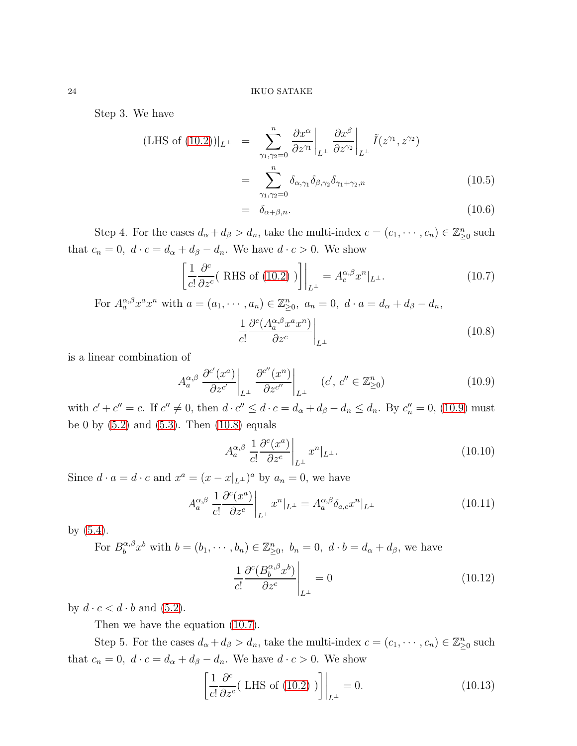Step 3. We have

$$
\begin{aligned} \text{(LHS of (10.2))} &|_{L^{\perp}} &= \sum_{\gamma_1, \gamma_2=0}^{n} \left. \frac{\partial x^{\alpha}}{\partial z^{\gamma_1}} \right|_{L^{\perp}} \left. \frac{\partial x^{\beta}}{\partial z^{\gamma_2}} \right|_{L^{\perp}} \tilde{I}(z^{\gamma_1}, z^{\gamma_2}) \\ &= \sum_{\gamma_1, \gamma_2=0}^{n} \delta_{\alpha, \gamma_1} \delta_{\beta, \gamma_2} \delta_{\gamma_1 + \gamma_2, n} \end{aligned} \tag{10.5}
$$

$$
= \delta_{\alpha+\beta,n}.\tag{10.6}
$$

Step 4. For the cases  $d_{\alpha} + d_{\beta} > d_n$ , take the multi-index  $c = (c_1, \dots, c_n) \in \mathbb{Z}_{\geq 0}^n$  such that  $c_n = 0$ ,  $d \cdot c = d_\alpha + d_\beta - d_n$ . We have  $d \cdot c > 0$ . We show

<span id="page-23-2"></span>
$$
\left[\frac{1}{c!} \frac{\partial^c}{\partial z^c} (\text{ RHS of (10.2)})\right]\Big|_{L^\perp} = A_c^{\alpha,\beta} x^n|_{L^\perp}.
$$
 (10.7)

For  $A_a^{\alpha,\beta} x^a x^n$  with  $a = (a_1, \dots, a_n) \in \mathbb{Z}_{\geq 0}^n$ ,  $a_n = 0$ ,  $d \cdot a = d_\alpha + d_\beta - d_n$ ,

<span id="page-23-1"></span>
$$
\left. \frac{1}{c!} \frac{\partial^c (A_a^{\alpha,\beta} x^a x^n)}{\partial z^c} \right|_{L^\perp}
$$
\n(10.8)

is a linear combination of

<span id="page-23-0"></span>
$$
A_{a}^{\alpha,\beta} \left. \frac{\partial^{c'}(x^{a})}{\partial z^{c'}} \right|_{L^{\perp}} \left. \frac{\partial^{c''}(x^{n})}{\partial z^{c''}} \right|_{L^{\perp}} \quad (c', c'' \in \mathbb{Z}_{\geq 0}^{n}) \tag{10.9}
$$

with  $c' + c'' = c$ . If  $c'' \neq 0$ , then  $d \cdot c'' \leq d \cdot c = d_{\alpha} + d_{\beta} - d_n \leq d_n$ . By  $c''_n = 0$ , [\(10.9\)](#page-23-0) must be 0 by  $(5.2)$  and  $(5.3)$ . Then  $(10.8)$  equals

$$
A_a^{\alpha,\beta} \left. \frac{1}{c!} \frac{\partial^c(x^a)}{\partial z^c} \right|_{L^\perp} x^n |_{L^\perp}.\tag{10.10}
$$

Since  $d \cdot a = d \cdot c$  and  $x^a = (x - x|_{L^{\perp}})^a$  by  $a_n = 0$ , we have

$$
A_a^{\alpha,\beta} \left. \frac{1}{c!} \frac{\partial^c(x^a)}{\partial z^c} \right|_{L^\perp} x^n \vert_{L^\perp} = A_a^{\alpha,\beta} \delta_{a,c} x^n \vert_{L^\perp}
$$
 (10.11)

by [\(5.4\)](#page-7-3).

For  $B_h^{\alpha,\beta}$  $b_0^{\alpha,\beta}x^b$  with  $b=(b_1,\dots,b_n)\in\mathbb{Z}_{\geq 0}^n$ ,  $b_n=0$ ,  $d\cdot b=d_\alpha+d_\beta$ , we have

$$
\frac{1}{c!} \frac{\partial^c (B_b^{\alpha,\beta} x^b)}{\partial z^c} \bigg|_{L^\perp} = 0 \tag{10.12}
$$

by  $d \cdot c < d \cdot b$  and  $(5.2)$ .

Then we have the equation [\(10.7\)](#page-23-2).

Step 5. For the cases  $d_{\alpha} + d_{\beta} > d_n$ , take the multi-index  $c = (c_1, \dots, c_n) \in \mathbb{Z}_{\geq 0}^n$  such that  $c_n = 0$ ,  $d \cdot c = d_\alpha + d_\beta - d_n$ . We have  $d \cdot c > 0$ . We show

<span id="page-23-3"></span>
$$
\left[\frac{1}{c!} \frac{\partial^c}{\partial z^c} (\text{ LHS of (10.2)})\right]\Big|_{L^\perp} = 0. \tag{10.13}
$$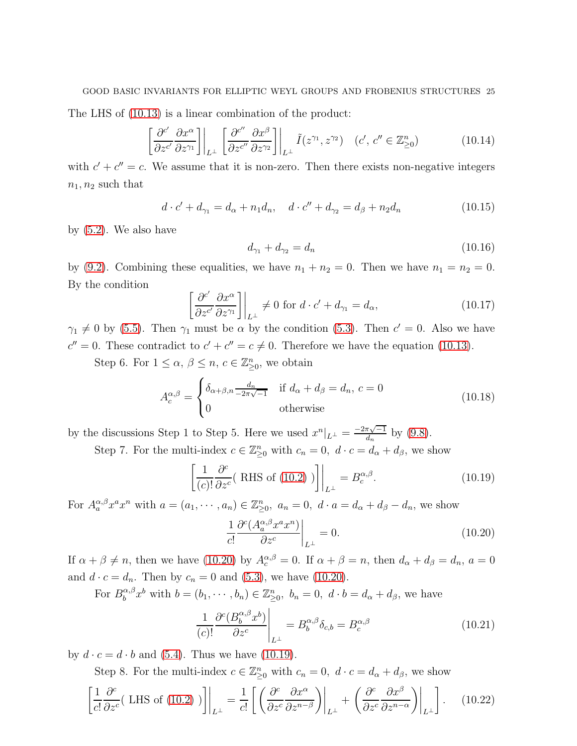#### GOOD BASIC INVARIANTS FOR ELLIPTIC WEYL GROUPS AND FROBENIUS STRUCTURES 25

The LHS of [\(10.13\)](#page-23-3) is a linear combination of the product:

$$
\left[\frac{\partial^{c'}}{\partial z^{c'}}\frac{\partial x^{\alpha}}{\partial z^{\gamma_1}}\right]\Big|_{L^{\perp}} \left[\frac{\partial^{c''}}{\partial z^{c''}}\frac{\partial x^{\beta}}{\partial z^{\gamma_2}}\right]\Big|_{L^{\perp}} \tilde{I}(z^{\gamma_1}, z^{\gamma_2}) \quad (c', c'' \in \mathbb{Z}_{\geq 0}^n) \tag{10.14}
$$

with  $c' + c'' = c$ . We assume that it is non-zero. Then there exists non-negative integers  $n_1, n_2$  such that

$$
d \cdot c' + d_{\gamma_1} = d_{\alpha} + n_1 d_n, \quad d \cdot c'' + d_{\gamma_2} = d_{\beta} + n_2 d_n \tag{10.15}
$$

by [\(5.2\)](#page-7-1). We also have

$$
d_{\gamma_1} + d_{\gamma_2} = d_n \tag{10.16}
$$

by [\(9.2\)](#page-16-3). Combining these equalities, we have  $n_1 + n_2 = 0$ . Then we have  $n_1 = n_2 = 0$ . By the condition

$$
\left[\frac{\partial^{c'}}{\partial z^{c'}} \frac{\partial x^{\alpha}}{\partial z^{\gamma_1}}\right]\Big|_{L^{\perp}} \neq 0 \text{ for } d \cdot c' + d_{\gamma_1} = d_{\alpha},\tag{10.17}
$$

 $\gamma_1 \neq 0$  by [\(5.5\)](#page-7-4). Then  $\gamma_1$  must be  $\alpha$  by the condition [\(5.3\)](#page-7-2). Then  $c' = 0$ . Also we have  $c'' = 0$ . These contradict to  $c' + c'' = c \neq 0$ . Therefore we have the equation [\(10.13\)](#page-23-3).

Step 6. For  $1 \leq \alpha, \beta \leq n, c \in \mathbb{Z}_{\geq 0}^n$ , we obtain

$$
A_c^{\alpha,\beta} = \begin{cases} \delta_{\alpha+\beta,n} \frac{d_n}{-2\pi\sqrt{-1}} & \text{if } d_{\alpha} + d_{\beta} = d_n, c = 0\\ 0 & \text{otherwise} \end{cases}
$$
(10.18)

by the discussions Step 1 to Step 5. Here we used  $x^n|_{L^{\perp}} = \frac{-2\pi\sqrt{-1}}{d_n}$  by [\(9.8\)](#page-18-1).

Step 7. For the multi-index  $c \in \mathbb{Z}_{\geq 0}^n$  with  $c_n = 0, d \cdot c = d_\alpha + d_\beta$ , we show

<span id="page-24-1"></span>
$$
\left[\frac{1}{(c)!} \frac{\partial^c}{\partial z^c} (\text{ RHS of (10.2)})\right]\Big|_{L^\perp} = B_c^{\alpha,\beta}.
$$
 (10.19)

For  $A_a^{\alpha,\beta} x^a x^n$  with  $a = (a_1, \dots, a_n) \in \mathbb{Z}_{\geq 0}^n$ ,  $a_n = 0$ ,  $d \cdot a = d_\alpha + d_\beta - d_n$ , we show

<span id="page-24-0"></span>
$$
\frac{1}{c!} \frac{\partial^c (A_a^{\alpha,\beta} x^a x^n)}{\partial z^c} \bigg|_{L^\perp} = 0. \tag{10.20}
$$

If  $\alpha + \beta \neq n$ , then we have [\(10.20\)](#page-24-0) by  $A_c^{\alpha,\beta} = 0$ . If  $\alpha + \beta = n$ , then  $d_{\alpha} + d_{\beta} = d_n$ ,  $a = 0$ and  $d \cdot c = d_n$ . Then by  $c_n = 0$  and [\(5.3\)](#page-7-2), we have [\(10.20\)](#page-24-0).

For  $B_b^{\alpha,\beta}$  $b_0^{\alpha,\beta}x^b$  with  $b=(b_1,\dots,b_n)\in\mathbb{Z}_{\geq 0}^n$ ,  $b_n=0$ ,  $d\cdot b=d_\alpha+d_\beta$ , we have

$$
\frac{1}{(c)!} \frac{\partial^c (B_b^{\alpha,\beta} x^b)}{\partial z^c} \bigg|_{L^\perp} = B_b^{\alpha,\beta} \delta_{c,b} = B_c^{\alpha,\beta} \tag{10.21}
$$

by  $d \cdot c = d \cdot b$  and [\(5.4\)](#page-7-3). Thus we have [\(10.19\)](#page-24-1).

Step 8. For the multi-index  $c \in \mathbb{Z}_{\geq 0}^n$  with  $c_n = 0$ ,  $d \cdot c = d_\alpha + d_\beta$ , we show

<span id="page-24-2"></span>
$$
\left[\frac{1}{c!} \frac{\partial^c}{\partial z^c} (\text{LHS of (10.2)})\right]\Big|_{L^\perp} = \frac{1}{c!} \left[ \left( \frac{\partial^c}{\partial z^c} \frac{\partial x^\alpha}{\partial z^{n-\beta}} \right)\Big|_{L^\perp} + \left( \frac{\partial^c}{\partial z^c} \frac{\partial x^\beta}{\partial z^{n-\alpha}} \right)\Big|_{L^\perp} \right]. \tag{10.22}
$$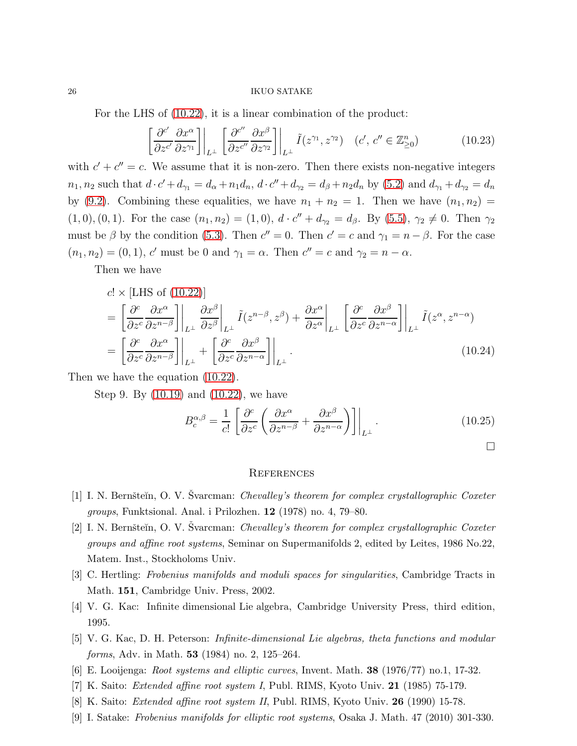For the LHS of [\(10.22\)](#page-24-2), it is a linear combination of the product:

$$
\left[\frac{\partial^{c'}}{\partial z^{c'}}\frac{\partial x^{\alpha}}{\partial z^{\gamma_1}}\right]\Big|_{L^{\perp}} \left[\frac{\partial^{c''}}{\partial z^{c''}}\frac{\partial x^{\beta}}{\partial z^{\gamma_2}}\right]\Big|_{L^{\perp}} \tilde{I}(z^{\gamma_1}, z^{\gamma_2}) \quad (c', c'' \in \mathbb{Z}_{\geq 0}^n) \tag{10.23}
$$

with  $c' + c'' = c$ . We assume that it is non-zero. Then there exists non-negative integers  $n_1, n_2$  such that  $d \cdot c' + d_{\gamma_1} = d_{\alpha} + n_1 d_n$ ,  $d \cdot c'' + d_{\gamma_2} = d_{\beta} + n_2 d_n$  by [\(5.2\)](#page-7-1) and  $d_{\gamma_1} + d_{\gamma_2} = d_n$ by [\(9.2\)](#page-16-3). Combining these equalities, we have  $n_1 + n_2 = 1$ . Then we have  $(n_1, n_2) =$  $(1, 0), (0, 1)$ . For the case  $(n_1, n_2) = (1, 0), d \cdot c'' + d_{\gamma_2} = d_{\beta}$ . By  $(5.5), \gamma_2 \neq 0$ . Then  $\gamma_2$ must be  $\beta$  by the condition [\(5.3\)](#page-7-2). Then  $c'' = 0$ . Then  $c' = c$  and  $\gamma_1 = n - \beta$ . For the case  $(n_1, n_2) = (0, 1)$ , c' must be 0 and  $\gamma_1 = \alpha$ . Then  $c'' = c$  and  $\gamma_2 = n - \alpha$ .

Then we have

$$
c! \times [\text{LHS of (10.22)}]
$$
\n
$$
= \left[ \frac{\partial^c}{\partial z^c} \frac{\partial x^{\alpha}}{\partial z^{n-\beta}} \right] \Big|_{L^{\perp}} \frac{\partial x^{\beta}}{\partial z^{\beta}} \Big|_{L^{\perp}} \tilde{I}(z^{n-\beta}, z^{\beta}) + \frac{\partial x^{\alpha}}{\partial z^{\alpha}} \Big|_{L^{\perp}} \left[ \frac{\partial^c}{\partial z^c} \frac{\partial x^{\beta}}{\partial z^{n-\alpha}} \right] \Big|_{L^{\perp}} \tilde{I}(z^{\alpha}, z^{n-\alpha})
$$
\n
$$
= \left[ \frac{\partial^c}{\partial z^c} \frac{\partial x^{\alpha}}{\partial z^{n-\beta}} \right] \Big|_{L^{\perp}} + \left[ \frac{\partial^c}{\partial z^c} \frac{\partial x^{\beta}}{\partial z^{n-\alpha}} \right] \Big|_{L^{\perp}}.
$$
\n(10.24)

Then we have the equation [\(10.22\)](#page-24-2).

Step 9. By [\(10.19\)](#page-24-1) and [\(10.22\)](#page-24-2), we have

$$
B_c^{\alpha,\beta} = \frac{1}{c!} \left[ \frac{\partial^c}{\partial z^c} \left( \frac{\partial x^{\alpha}}{\partial z^{n-\beta}} + \frac{\partial x^{\beta}}{\partial z^{n-\alpha}} \right) \right] \Big|_{L^{\perp}}.
$$
 (10.25)

 $\Box$ 

#### **REFERENCES**

- <span id="page-25-5"></span><span id="page-25-4"></span>[1] I. N. Bernšteĭn, O. V. Švarcman: *Chevalley's theorem for complex crystallographic Coxeter* groups, Funktsional. Anal. i Prilozhen. 12 (1978) no. 4, 79–80.
- [2] I. N. Bernšteĭn, O. V. Švarcman: *Chevalley's theorem for complex crystallographic Coxeter* groups and affine root systems, Seminar on Supermanifolds 2, edited by Leites, 1986 No.22, Matem. Inst., Stockholoms Univ.
- <span id="page-25-8"></span><span id="page-25-3"></span>[3] C. Hertling: Frobenius manifolds and moduli spaces for singularities, Cambridge Tracts in Math. 151, Cambridge Univ. Press, 2002.
- <span id="page-25-6"></span>[4] V. G. Kac: Infinite dimensional Lie algebra, Cambridge University Press, third edition, 1995.
- <span id="page-25-7"></span>[5] V. G. Kac, D. H. Peterson: Infinite-dimensional Lie algebras, theta functions and modular forms, Adv. in Math. 53 (1984) no. 2, 125–264.
- <span id="page-25-0"></span>[6] E. Looijenga: Root systems and elliptic curves, Invent. Math. 38 (1976/77) no.1, 17-32.
- <span id="page-25-1"></span>[7] K. Saito: Extended affine root system I, Publ. RIMS, Kyoto Univ. 21 (1985) 75-179.
- <span id="page-25-2"></span>[8] K. Saito: Extended affine root system II, Publ. RIMS, Kyoto Univ. 26 (1990) 15-78.
- [9] I. Satake: Frobenius manifolds for elliptic root systems, Osaka J. Math. 47 (2010) 301-330.